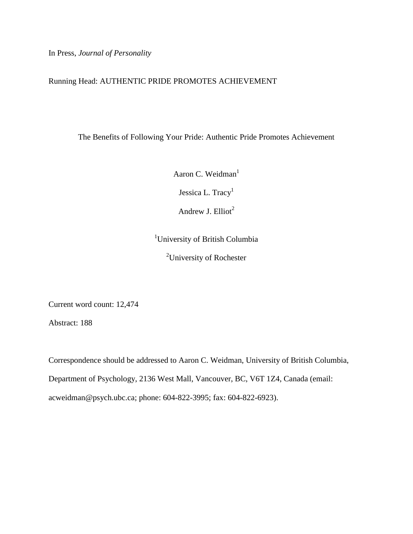In Press, *Journal of Personality*

## Running Head: AUTHENTIC PRIDE PROMOTES ACHIEVEMENT

The Benefits of Following Your Pride: Authentic Pride Promotes Achievement

Aaron C. Weidman<sup>1</sup>

Jessica L. Tracy<sup>1</sup>

Andrew J. Elliot<sup>2</sup>

<sup>1</sup>University of British Columbia

<sup>2</sup>University of Rochester

Current word count: 12,474

Abstract: 188

Correspondence should be addressed to Aaron C. Weidman, University of British Columbia, Department of Psychology, 2136 West Mall, Vancouver, BC, V6T 1Z4, Canada (email: [acweidman@psych.ubc.ca;](mailto:acweidman@psych.ubc.ca) phone: 604-822-3995; fax: 604-822-6923).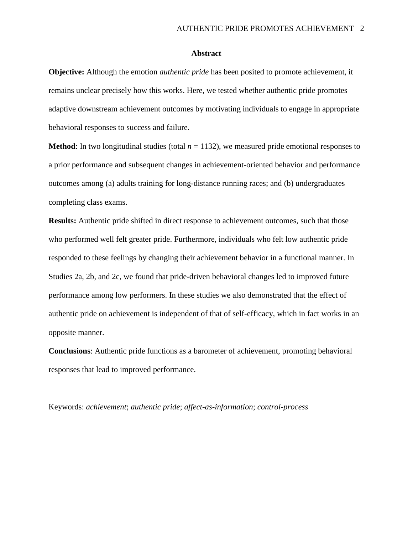#### **Abstract**

**Objective:** Although the emotion *authentic pride* has been posited to promote achievement, it remains unclear precisely how this works. Here, we tested whether authentic pride promotes adaptive downstream achievement outcomes by motivating individuals to engage in appropriate behavioral responses to success and failure.

**Method**: In two longitudinal studies (total  $n = 1132$ ), we measured pride emotional responses to a prior performance and subsequent changes in achievement-oriented behavior and performance outcomes among (a) adults training for long-distance running races; and (b) undergraduates completing class exams.

**Results:** Authentic pride shifted in direct response to achievement outcomes, such that those who performed well felt greater pride. Furthermore, individuals who felt low authentic pride responded to these feelings by changing their achievement behavior in a functional manner. In Studies 2a, 2b, and 2c, we found that pride-driven behavioral changes led to improved future performance among low performers. In these studies we also demonstrated that the effect of authentic pride on achievement is independent of that of self-efficacy, which in fact works in an opposite manner.

**Conclusions**: Authentic pride functions as a barometer of achievement, promoting behavioral responses that lead to improved performance.

Keywords: *achievement*; *authentic pride*; *affect-as-information*; *control-process*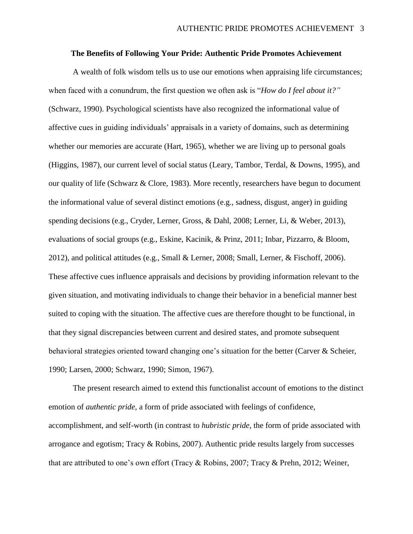## **The Benefits of Following Your Pride: Authentic Pride Promotes Achievement**

A wealth of folk wisdom tells us to use our emotions when appraising life circumstances; when faced with a conundrum, the first question we often ask is "*How do I feel about it?"* (Schwarz, 1990). Psychological scientists have also recognized the informational value of affective cues in guiding individuals' appraisals in a variety of domains, such as determining whether our memories are accurate (Hart, 1965), whether we are living up to personal goals (Higgins, 1987), our current level of social status (Leary, Tambor, Terdal, & Downs, 1995), and our quality of life (Schwarz & Clore, 1983). More recently, researchers have begun to document the informational value of several distinct emotions (e.g., sadness, disgust, anger) in guiding spending decisions (e.g., Cryder, Lerner, Gross, & Dahl, 2008; Lerner, Li, & Weber, 2013), evaluations of social groups (e.g., Eskine, Kacinik, & Prinz, 2011; Inbar, Pizzarro, & Bloom, 2012), and political attitudes (e.g., Small & Lerner, 2008; Small, Lerner, & Fischoff, 2006). These affective cues influence appraisals and decisions by providing information relevant to the given situation, and motivating individuals to change their behavior in a beneficial manner best suited to coping with the situation. The affective cues are therefore thought to be functional, in that they signal discrepancies between current and desired states, and promote subsequent behavioral strategies oriented toward changing one's situation for the better (Carver & Scheier, 1990; Larsen, 2000; Schwarz, 1990; Simon, 1967).

The present research aimed to extend this functionalist account of emotions to the distinct emotion of *authentic pride*, a form of pride associated with feelings of confidence, accomplishment, and self-worth (in contrast to *hubristic pride*, the form of pride associated with arrogance and egotism; Tracy & Robins, 2007). Authentic pride results largely from successes that are attributed to one's own effort (Tracy & Robins, 2007; Tracy & Prehn, 2012; Weiner,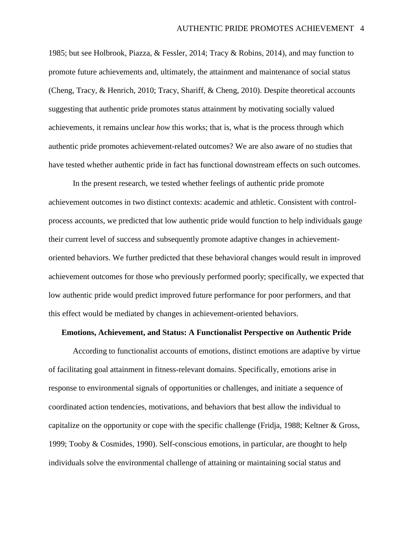1985; but see Holbrook, Piazza, & Fessler, 2014; Tracy & Robins, 2014), and may function to promote future achievements and, ultimately, the attainment and maintenance of social status (Cheng, Tracy, & Henrich, 2010; Tracy, Shariff, & Cheng, 2010). Despite theoretical accounts suggesting that authentic pride promotes status attainment by motivating socially valued achievements, it remains unclear *how* this works; that is, what is the process through which authentic pride promotes achievement-related outcomes? We are also aware of no studies that have tested whether authentic pride in fact has functional downstream effects on such outcomes.

In the present research, we tested whether feelings of authentic pride promote achievement outcomes in two distinct contexts: academic and athletic. Consistent with controlprocess accounts, we predicted that low authentic pride would function to help individuals gauge their current level of success and subsequently promote adaptive changes in achievementoriented behaviors. We further predicted that these behavioral changes would result in improved achievement outcomes for those who previously performed poorly; specifically, we expected that low authentic pride would predict improved future performance for poor performers, and that this effect would be mediated by changes in achievement-oriented behaviors.

### **Emotions, Achievement, and Status: A Functionalist Perspective on Authentic Pride**

According to functionalist accounts of emotions, distinct emotions are adaptive by virtue of facilitating goal attainment in fitness-relevant domains. Specifically, emotions arise in response to environmental signals of opportunities or challenges, and initiate a sequence of coordinated action tendencies, motivations, and behaviors that best allow the individual to capitalize on the opportunity or cope with the specific challenge (Fridja, 1988; Keltner & Gross, 1999; Tooby & Cosmides, 1990). Self-conscious emotions, in particular, are thought to help individuals solve the environmental challenge of attaining or maintaining social status and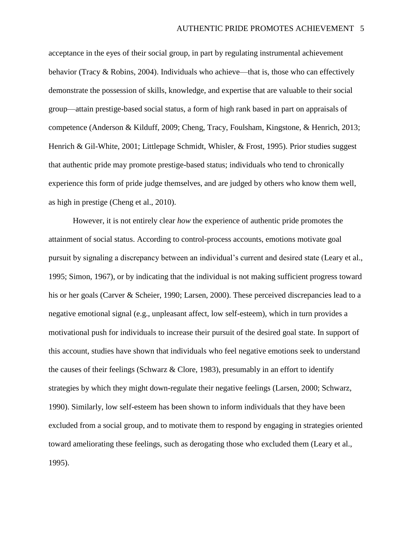acceptance in the eyes of their social group, in part by regulating instrumental achievement behavior (Tracy & Robins, 2004). Individuals who achieve—that is, those who can effectively demonstrate the possession of skills, knowledge, and expertise that are valuable to their social group—attain prestige-based social status, a form of high rank based in part on appraisals of competence (Anderson & Kilduff, 2009; Cheng, Tracy, Foulsham, Kingstone, & Henrich, 2013; Henrich & Gil-White, 2001; Littlepage Schmidt, Whisler, & Frost, 1995). Prior studies suggest that authentic pride may promote prestige-based status; individuals who tend to chronically experience this form of pride judge themselves, and are judged by others who know them well, as high in prestige (Cheng et al., 2010).

However, it is not entirely clear *how* the experience of authentic pride promotes the attainment of social status. According to control-process accounts, emotions motivate goal pursuit by signaling a discrepancy between an individual's current and desired state (Leary et al., 1995; Simon, 1967), or by indicating that the individual is not making sufficient progress toward his or her goals (Carver & Scheier, 1990; Larsen, 2000). These perceived discrepancies lead to a negative emotional signal (e.g., unpleasant affect, low self-esteem), which in turn provides a motivational push for individuals to increase their pursuit of the desired goal state. In support of this account, studies have shown that individuals who feel negative emotions seek to understand the causes of their feelings (Schwarz & Clore, 1983), presumably in an effort to identify strategies by which they might down-regulate their negative feelings (Larsen, 2000; Schwarz, 1990). Similarly, low self-esteem has been shown to inform individuals that they have been excluded from a social group, and to motivate them to respond by engaging in strategies oriented toward ameliorating these feelings, such as derogating those who excluded them (Leary et al., 1995).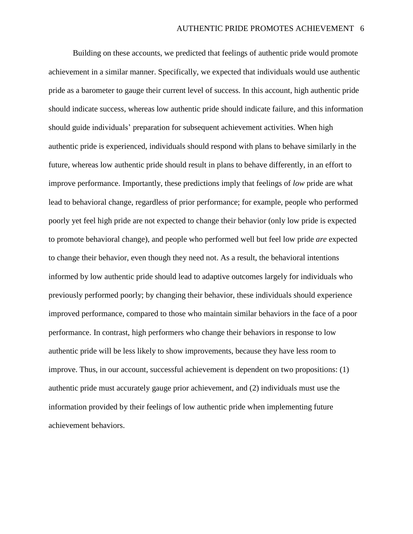Building on these accounts, we predicted that feelings of authentic pride would promote achievement in a similar manner. Specifically, we expected that individuals would use authentic pride as a barometer to gauge their current level of success. In this account, high authentic pride should indicate success, whereas low authentic pride should indicate failure, and this information should guide individuals' preparation for subsequent achievement activities. When high authentic pride is experienced, individuals should respond with plans to behave similarly in the future, whereas low authentic pride should result in plans to behave differently, in an effort to improve performance. Importantly, these predictions imply that feelings of *low* pride are what lead to behavioral change, regardless of prior performance; for example, people who performed poorly yet feel high pride are not expected to change their behavior (only low pride is expected to promote behavioral change), and people who performed well but feel low pride *are* expected to change their behavior, even though they need not. As a result, the behavioral intentions informed by low authentic pride should lead to adaptive outcomes largely for individuals who previously performed poorly; by changing their behavior, these individuals should experience improved performance, compared to those who maintain similar behaviors in the face of a poor performance. In contrast, high performers who change their behaviors in response to low authentic pride will be less likely to show improvements, because they have less room to improve. Thus, in our account, successful achievement is dependent on two propositions: (1) authentic pride must accurately gauge prior achievement, and (2) individuals must use the information provided by their feelings of low authentic pride when implementing future achievement behaviors.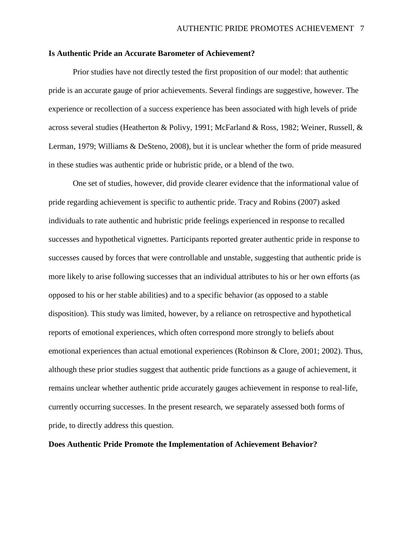#### **Is Authentic Pride an Accurate Barometer of Achievement?**

Prior studies have not directly tested the first proposition of our model: that authentic pride is an accurate gauge of prior achievements. Several findings are suggestive, however. The experience or recollection of a success experience has been associated with high levels of pride across several studies (Heatherton & Polivy, 1991; McFarland & Ross, 1982; Weiner, Russell, & Lerman, 1979; Williams & DeSteno, 2008), but it is unclear whether the form of pride measured in these studies was authentic pride or hubristic pride, or a blend of the two.

One set of studies, however, did provide clearer evidence that the informational value of pride regarding achievement is specific to authentic pride. Tracy and Robins (2007) asked individuals to rate authentic and hubristic pride feelings experienced in response to recalled successes and hypothetical vignettes. Participants reported greater authentic pride in response to successes caused by forces that were controllable and unstable, suggesting that authentic pride is more likely to arise following successes that an individual attributes to his or her own efforts (as opposed to his or her stable abilities) and to a specific behavior (as opposed to a stable disposition). This study was limited, however, by a reliance on retrospective and hypothetical reports of emotional experiences, which often correspond more strongly to beliefs about emotional experiences than actual emotional experiences (Robinson & Clore, 2001; 2002). Thus, although these prior studies suggest that authentic pride functions as a gauge of achievement, it remains unclear whether authentic pride accurately gauges achievement in response to real-life, currently occurring successes. In the present research, we separately assessed both forms of pride, to directly address this question.

## **Does Authentic Pride Promote the Implementation of Achievement Behavior?**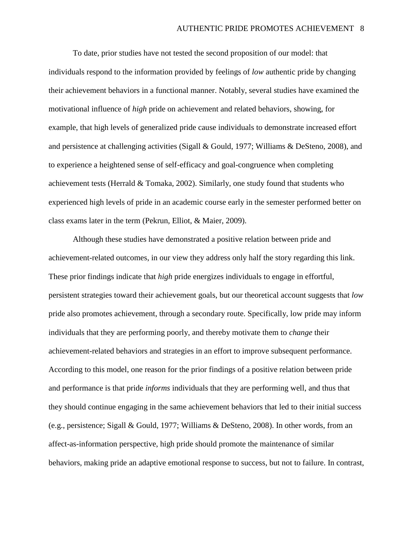To date, prior studies have not tested the second proposition of our model: that individuals respond to the information provided by feelings of *low* authentic pride by changing their achievement behaviors in a functional manner. Notably, several studies have examined the motivational influence of *high* pride on achievement and related behaviors, showing, for example, that high levels of generalized pride cause individuals to demonstrate increased effort and persistence at challenging activities (Sigall & Gould, 1977; Williams & DeSteno, 2008), and to experience a heightened sense of self-efficacy and goal-congruence when completing achievement tests (Herrald & Tomaka, 2002). Similarly, one study found that students who experienced high levels of pride in an academic course early in the semester performed better on class exams later in the term (Pekrun, Elliot, & Maier, 2009).

Although these studies have demonstrated a positive relation between pride and achievement-related outcomes, in our view they address only half the story regarding this link. These prior findings indicate that *high* pride energizes individuals to engage in effortful, persistent strategies toward their achievement goals, but our theoretical account suggests that *low* pride also promotes achievement, through a secondary route. Specifically, low pride may inform individuals that they are performing poorly, and thereby motivate them to *change* their achievement-related behaviors and strategies in an effort to improve subsequent performance. According to this model, one reason for the prior findings of a positive relation between pride and performance is that pride *informs* individuals that they are performing well, and thus that they should continue engaging in the same achievement behaviors that led to their initial success (e.g., persistence; Sigall & Gould, 1977; Williams & DeSteno, 2008). In other words, from an affect-as-information perspective, high pride should promote the maintenance of similar behaviors, making pride an adaptive emotional response to success, but not to failure. In contrast,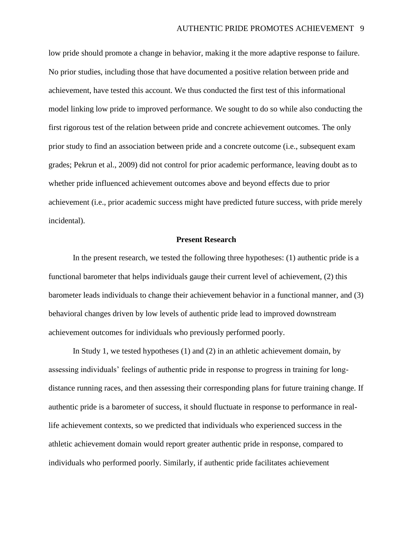low pride should promote a change in behavior, making it the more adaptive response to failure. No prior studies, including those that have documented a positive relation between pride and achievement, have tested this account. We thus conducted the first test of this informational model linking low pride to improved performance. We sought to do so while also conducting the first rigorous test of the relation between pride and concrete achievement outcomes. The only prior study to find an association between pride and a concrete outcome (i.e., subsequent exam grades; Pekrun et al., 2009) did not control for prior academic performance, leaving doubt as to whether pride influenced achievement outcomes above and beyond effects due to prior achievement (i.e., prior academic success might have predicted future success, with pride merely incidental).

### **Present Research**

In the present research, we tested the following three hypotheses: (1) authentic pride is a functional barometer that helps individuals gauge their current level of achievement, (2) this barometer leads individuals to change their achievement behavior in a functional manner, and (3) behavioral changes driven by low levels of authentic pride lead to improved downstream achievement outcomes for individuals who previously performed poorly.

In Study 1, we tested hypotheses (1) and (2) in an athletic achievement domain, by assessing individuals' feelings of authentic pride in response to progress in training for longdistance running races, and then assessing their corresponding plans for future training change. If authentic pride is a barometer of success, it should fluctuate in response to performance in reallife achievement contexts, so we predicted that individuals who experienced success in the athletic achievement domain would report greater authentic pride in response, compared to individuals who performed poorly. Similarly, if authentic pride facilitates achievement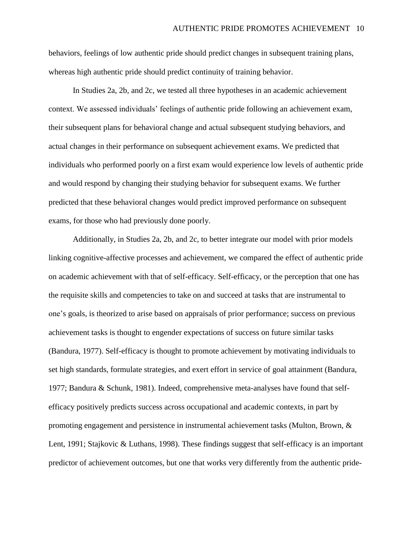behaviors, feelings of low authentic pride should predict changes in subsequent training plans, whereas high authentic pride should predict continuity of training behavior.

In Studies 2a, 2b, and 2c, we tested all three hypotheses in an academic achievement context. We assessed individuals' feelings of authentic pride following an achievement exam, their subsequent plans for behavioral change and actual subsequent studying behaviors, and actual changes in their performance on subsequent achievement exams. We predicted that individuals who performed poorly on a first exam would experience low levels of authentic pride and would respond by changing their studying behavior for subsequent exams. We further predicted that these behavioral changes would predict improved performance on subsequent exams, for those who had previously done poorly.

Additionally, in Studies 2a, 2b, and 2c, to better integrate our model with prior models linking cognitive-affective processes and achievement, we compared the effect of authentic pride on academic achievement with that of self-efficacy. Self-efficacy, or the perception that one has the requisite skills and competencies to take on and succeed at tasks that are instrumental to one's goals, is theorized to arise based on appraisals of prior performance; success on previous achievement tasks is thought to engender expectations of success on future similar tasks (Bandura, 1977). Self-efficacy is thought to promote achievement by motivating individuals to set high standards, formulate strategies, and exert effort in service of goal attainment (Bandura, 1977; Bandura & Schunk, 1981). Indeed, comprehensive meta-analyses have found that selfefficacy positively predicts success across occupational and academic contexts, in part by promoting engagement and persistence in instrumental achievement tasks (Multon, Brown, & Lent, 1991; Stajkovic & Luthans, 1998). These findings suggest that self-efficacy is an important predictor of achievement outcomes, but one that works very differently from the authentic pride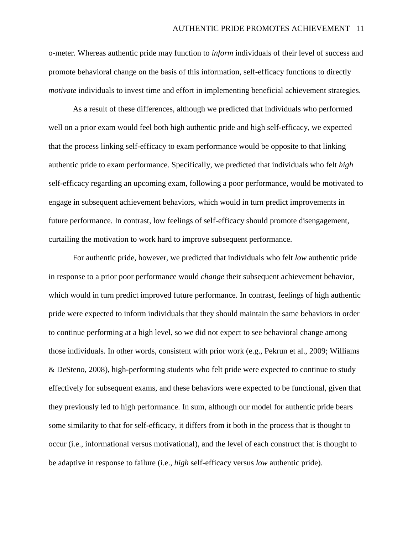o-meter. Whereas authentic pride may function to *inform* individuals of their level of success and promote behavioral change on the basis of this information, self-efficacy functions to directly *motivate* individuals to invest time and effort in implementing beneficial achievement strategies.

As a result of these differences, although we predicted that individuals who performed well on a prior exam would feel both high authentic pride and high self-efficacy, we expected that the process linking self-efficacy to exam performance would be opposite to that linking authentic pride to exam performance. Specifically, we predicted that individuals who felt *high* self-efficacy regarding an upcoming exam, following a poor performance, would be motivated to engage in subsequent achievement behaviors, which would in turn predict improvements in future performance. In contrast, low feelings of self-efficacy should promote disengagement, curtailing the motivation to work hard to improve subsequent performance.

For authentic pride, however, we predicted that individuals who felt *low* authentic pride in response to a prior poor performance would *change* their subsequent achievement behavior, which would in turn predict improved future performance. In contrast, feelings of high authentic pride were expected to inform individuals that they should maintain the same behaviors in order to continue performing at a high level, so we did not expect to see behavioral change among those individuals. In other words, consistent with prior work (e.g., Pekrun et al., 2009; Williams & DeSteno, 2008), high-performing students who felt pride were expected to continue to study effectively for subsequent exams, and these behaviors were expected to be functional, given that they previously led to high performance. In sum, although our model for authentic pride bears some similarity to that for self-efficacy, it differs from it both in the process that is thought to occur (i.e., informational versus motivational), and the level of each construct that is thought to be adaptive in response to failure (i.e., *high* self-efficacy versus *low* authentic pride).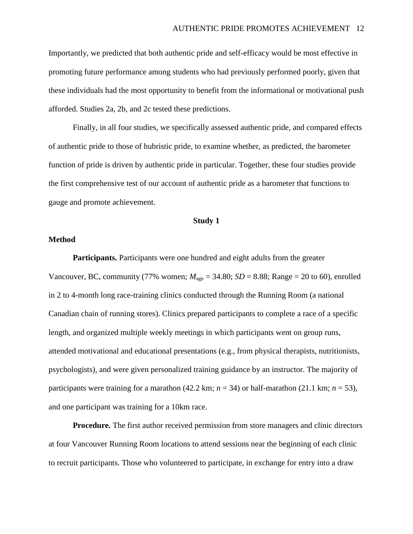Importantly, we predicted that both authentic pride and self-efficacy would be most effective in promoting future performance among students who had previously performed poorly, given that these individuals had the most opportunity to benefit from the informational or motivational push afforded. Studies 2a, 2b, and 2c tested these predictions.

Finally, in all four studies, we specifically assessed authentic pride, and compared effects of authentic pride to those of hubristic pride, to examine whether, as predicted, the barometer function of pride is driven by authentic pride in particular. Together, these four studies provide the first comprehensive test of our account of authentic pride as a barometer that functions to gauge and promote achievement.

## **Study 1**

### **Method**

**Participants.** Participants were one hundred and eight adults from the greater Vancouver, BC, community (77% women;  $M_{\text{age}} = 34.80$ ;  $SD = 8.88$ ; Range = 20 to 60), enrolled in 2 to 4-month long race-training clinics conducted through the Running Room (a national Canadian chain of running stores). Clinics prepared participants to complete a race of a specific length, and organized multiple weekly meetings in which participants went on group runs, attended motivational and educational presentations (e.g., from physical therapists, nutritionists, psychologists), and were given personalized training guidance by an instructor. The majority of participants were training for a marathon (42.2 km;  $n = 34$ ) or half-marathon (21.1 km;  $n = 53$ ), and one participant was training for a 10km race.

**Procedure.** The first author received permission from store managers and clinic directors at four Vancouver Running Room locations to attend sessions near the beginning of each clinic to recruit participants. Those who volunteered to participate, in exchange for entry into a draw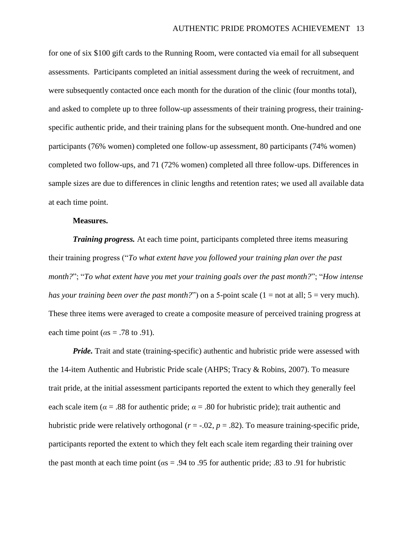for one of six \$100 gift cards to the Running Room, were contacted via email for all subsequent assessments. Participants completed an initial assessment during the week of recruitment, and were subsequently contacted once each month for the duration of the clinic (four months total), and asked to complete up to three follow-up assessments of their training progress, their trainingspecific authentic pride, and their training plans for the subsequent month. One-hundred and one participants (76% women) completed one follow-up assessment, 80 participants (74% women) completed two follow-ups, and 71 (72% women) completed all three follow-ups. Differences in sample sizes are due to differences in clinic lengths and retention rates; we used all available data at each time point.

#### **Measures.**

*Training progress.* At each time point, participants completed three items measuring their training progress ("*To what extent have you followed your training plan over the past month?*"; "*To what extent have you met your training goals over the past month?*"; "*How intense has your training been over the past month?*") on a 5-point scale (1 = not at all; 5 = very much). These three items were averaged to create a composite measure of perceived training progress at each time point ( $\alpha$ s = .78 to .91).

*Pride.* Trait and state (training-specific) authentic and hubristic pride were assessed with the 14-item Authentic and Hubristic Pride scale (AHPS; Tracy & Robins, 2007). To measure trait pride, at the initial assessment participants reported the extent to which they generally feel each scale item ( $\alpha = .88$  for authentic pride;  $\alpha = .80$  for hubristic pride); trait authentic and hubristic pride were relatively orthogonal  $(r = -0.02, p = 0.82)$ . To measure training-specific pride, participants reported the extent to which they felt each scale item regarding their training over the past month at each time point (*α*s = .94 to .95 for authentic pride; .83 to .91 for hubristic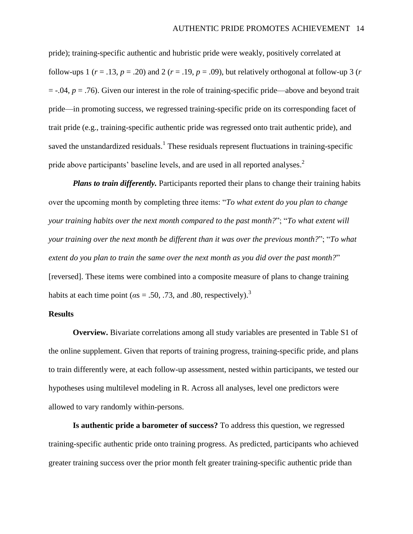pride); training-specific authentic and hubristic pride were weakly, positively correlated at follow-ups 1 ( $r = .13$ ,  $p = .20$ ) and 2 ( $r = .19$ ,  $p = .09$ ), but relatively orthogonal at follow-up 3 ( $r = .19$  $= -.04$ ,  $p = .76$ ). Given our interest in the role of training-specific pride—above and beyond trait pride—in promoting success, we regressed training-specific pride on its corresponding facet of trait pride (e.g., training-specific authentic pride was regressed onto trait authentic pride), and saved the unstandardized residuals.<sup>1</sup> These residuals represent fluctuations in training-specific pride above participants' baseline levels, and are used in all reported analyses.<sup>2</sup>

*Plans to train differently.* Participants reported their plans to change their training habits over the upcoming month by completing three items: "*To what extent do you plan to change your training habits over the next month compared to the past month?*"; "*To what extent will your training over the next month be different than it was over the previous month?*"; "*To what extent do you plan to train the same over the next month as you did over the past month?*" [reversed]. These items were combined into a composite measure of plans to change training habits at each time point ( $\alpha s = .50, .73,$  and .80, respectively).<sup>3</sup>

#### **Results**

**Overview.** Bivariate correlations among all study variables are presented in Table S1 of the online supplement. Given that reports of training progress, training-specific pride, and plans to train differently were, at each follow-up assessment, nested within participants, we tested our hypotheses using multilevel modeling in R. Across all analyses, level one predictors were allowed to vary randomly within-persons.

**Is authentic pride a barometer of success?** To address this question, we regressed training-specific authentic pride onto training progress. As predicted, participants who achieved greater training success over the prior month felt greater training-specific authentic pride than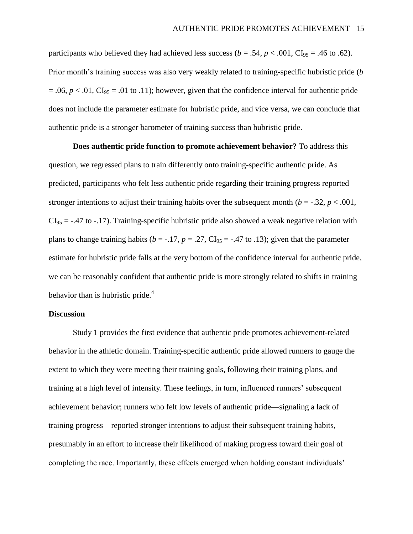participants who believed they had achieved less success ( $b = .54$ ,  $p < .001$ , CI<sub>95</sub> = .46 to .62). Prior month's training success was also very weakly related to training-specific hubristic pride (*b*  $= .06$ ,  $p < .01$ ,  $CI<sub>95</sub> = .01$  to .11); however, given that the confidence interval for authentic pride does not include the parameter estimate for hubristic pride, and vice versa, we can conclude that authentic pride is a stronger barometer of training success than hubristic pride.

**Does authentic pride function to promote achievement behavior?** To address this question, we regressed plans to train differently onto training-specific authentic pride. As predicted, participants who felt less authentic pride regarding their training progress reported stronger intentions to adjust their training habits over the subsequent month ( $b = -0.32$ ,  $p < 0.001$ ,  $CI_{95} = -0.47$  to  $-0.17$ ). Training-specific hubristic pride also showed a weak negative relation with plans to change training habits ( $b = -.17$ ,  $p = .27$ , CI<sub>95</sub> = -.47 to .13); given that the parameter estimate for hubristic pride falls at the very bottom of the confidence interval for authentic pride, we can be reasonably confident that authentic pride is more strongly related to shifts in training behavior than is hubristic pride. $4$ 

#### **Discussion**

Study 1 provides the first evidence that authentic pride promotes achievement-related behavior in the athletic domain. Training-specific authentic pride allowed runners to gauge the extent to which they were meeting their training goals, following their training plans, and training at a high level of intensity. These feelings, in turn, influenced runners' subsequent achievement behavior; runners who felt low levels of authentic pride—signaling a lack of training progress—reported stronger intentions to adjust their subsequent training habits, presumably in an effort to increase their likelihood of making progress toward their goal of completing the race. Importantly, these effects emerged when holding constant individuals'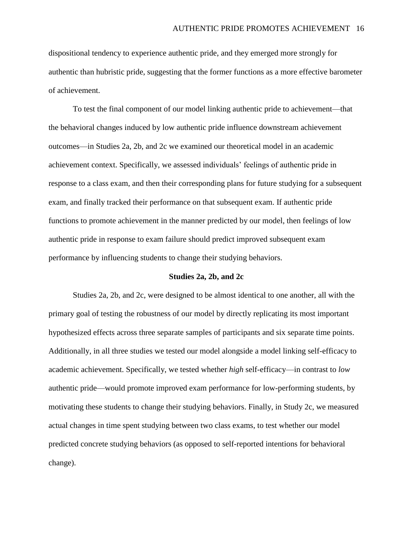dispositional tendency to experience authentic pride, and they emerged more strongly for authentic than hubristic pride, suggesting that the former functions as a more effective barometer of achievement.

To test the final component of our model linking authentic pride to achievement—that the behavioral changes induced by low authentic pride influence downstream achievement outcomes—in Studies 2a, 2b, and 2c we examined our theoretical model in an academic achievement context. Specifically, we assessed individuals' feelings of authentic pride in response to a class exam, and then their corresponding plans for future studying for a subsequent exam, and finally tracked their performance on that subsequent exam. If authentic pride functions to promote achievement in the manner predicted by our model, then feelings of low authentic pride in response to exam failure should predict improved subsequent exam performance by influencing students to change their studying behaviors.

### **Studies 2a, 2b, and 2c**

Studies 2a, 2b, and 2c, were designed to be almost identical to one another, all with the primary goal of testing the robustness of our model by directly replicating its most important hypothesized effects across three separate samples of participants and six separate time points. Additionally, in all three studies we tested our model alongside a model linking self-efficacy to academic achievement. Specifically, we tested whether *high* self-efficacy—in contrast to *low* authentic pride—would promote improved exam performance for low-performing students, by motivating these students to change their studying behaviors. Finally, in Study 2c, we measured actual changes in time spent studying between two class exams, to test whether our model predicted concrete studying behaviors (as opposed to self-reported intentions for behavioral change).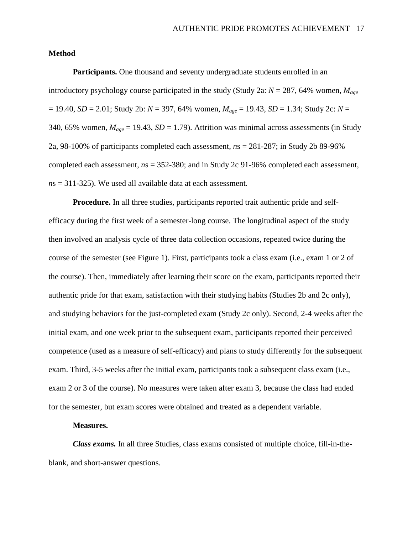## **Method**

**Participants.** One thousand and seventy undergraduate students enrolled in an introductory psychology course participated in the study (Study 2a: *N* = 287, 64% women, *Mage* = 19.40, *SD* = 2.01; Study 2b: *N* = 397, 64% women, *Mage* = 19.43, *SD* = 1.34; Study 2c: *N* = 340, 65% women,  $M_{age} = 19.43$ ,  $SD = 1.79$ ). Attrition was minimal across assessments (in Study 2a, 98-100% of participants completed each assessment, *n*s = 281-287; in Study 2b 89-96% completed each assessment, *n*s = 352-380; and in Study 2c 91-96% completed each assessment, *n*s = 311-325). We used all available data at each assessment.

**Procedure.** In all three studies, participants reported trait authentic pride and selfefficacy during the first week of a semester-long course. The longitudinal aspect of the study then involved an analysis cycle of three data collection occasions, repeated twice during the course of the semester (see Figure 1). First, participants took a class exam (i.e., exam 1 or 2 of the course). Then, immediately after learning their score on the exam, participants reported their authentic pride for that exam, satisfaction with their studying habits (Studies 2b and 2c only), and studying behaviors for the just-completed exam (Study 2c only). Second, 2-4 weeks after the initial exam, and one week prior to the subsequent exam, participants reported their perceived competence (used as a measure of self-efficacy) and plans to study differently for the subsequent exam. Third, 3-5 weeks after the initial exam, participants took a subsequent class exam (i.e., exam 2 or 3 of the course). No measures were taken after exam 3, because the class had ended for the semester, but exam scores were obtained and treated as a dependent variable.

### **Measures.**

*Class exams.* In all three Studies, class exams consisted of multiple choice, fill-in-theblank, and short-answer questions.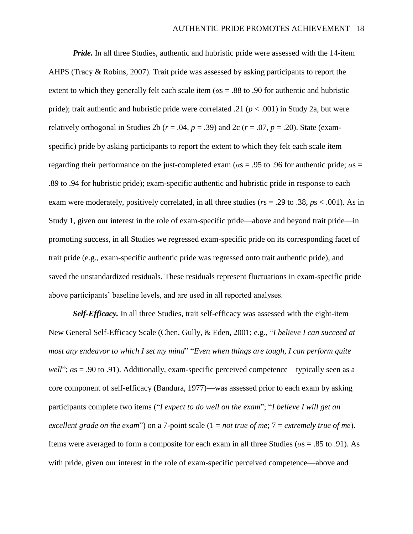*Pride.* In all three Studies, authentic and hubristic pride were assessed with the 14-item AHPS (Tracy & Robins, 2007). Trait pride was assessed by asking participants to report the extent to which they generally felt each scale item (*α*s = .88 to .90 for authentic and hubristic pride); trait authentic and hubristic pride were correlated .21 (*p* < .001) in Study 2a, but were relatively orthogonal in Studies 2b ( $r = .04$ ,  $p = .39$ ) and 2c ( $r = .07$ ,  $p = .20$ ). State (examspecific) pride by asking participants to report the extent to which they felt each scale item regarding their performance on the just-completed exam (*α*s = .95 to .96 for authentic pride; *α*s = .89 to .94 for hubristic pride); exam-specific authentic and hubristic pride in response to each exam were moderately, positively correlated, in all three studies (*r*s = .29 to .38, *p*s < .001). As in Study 1, given our interest in the role of exam-specific pride—above and beyond trait pride—in promoting success, in all Studies we regressed exam-specific pride on its corresponding facet of trait pride (e.g., exam-specific authentic pride was regressed onto trait authentic pride), and saved the unstandardized residuals. These residuals represent fluctuations in exam-specific pride above participants' baseline levels, and are used in all reported analyses.

*Self-Efficacy.* In all three Studies, trait self-efficacy was assessed with the eight-item New General Self-Efficacy Scale (Chen, Gully, & Eden, 2001; e.g., "*I believe I can succeed at most any endeavor to which I set my mind*" "*Even when things are tough, I can perform quite well*";  $\alpha$ s = .90 to .91). Additionally, exam-specific perceived competence—typically seen as a core component of self-efficacy (Bandura, 1977)—was assessed prior to each exam by asking participants complete two items ("*I expect to do well on the exam*"; "*I believe I will get an excellent grade on the exam*") on a 7-point scale (1 = *not true of me*; 7 = *extremely true of me*). Items were averaged to form a composite for each exam in all three Studies (*α*s = .85 to .91). As with pride, given our interest in the role of exam-specific perceived competence—above and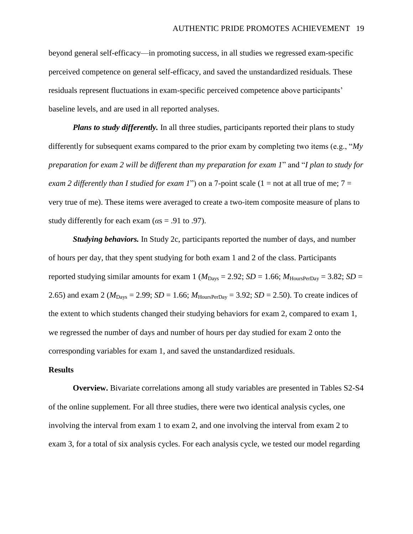beyond general self-efficacy—in promoting success, in all studies we regressed exam-specific perceived competence on general self-efficacy, and saved the unstandardized residuals. These residuals represent fluctuations in exam-specific perceived competence above participants' baseline levels, and are used in all reported analyses.

*Plans to study differently.* In all three studies, participants reported their plans to study differently for subsequent exams compared to the prior exam by completing two items (e.g., "*My preparation for exam 2 will be different than my preparation for exam 1*" and "*I plan to study for exam 2 differently than I studied for exam 1*") on a 7-point scale (1 = not at all true of me;  $7 =$ very true of me). These items were averaged to create a two-item composite measure of plans to study differently for each exam ( $\alpha s = .91$  to .97).

*Studying behaviors.* In Study 2c, participants reported the number of days, and number of hours per day, that they spent studying for both exam 1 and 2 of the class. Participants reported studying similar amounts for exam 1 ( $M_{\text{Days}} = 2.92$ ; *SD* = 1.66;  $M_{\text{HoursPerDay}} = 3.82$ ; *SD* = 2.65) and exam 2 ( $M_{\text{Days}} = 2.99$ ; *SD* = 1.66;  $M_{\text{HoursPerDay}} = 3.92$ ; *SD* = 2.50). To create indices of the extent to which students changed their studying behaviors for exam 2, compared to exam 1, we regressed the number of days and number of hours per day studied for exam 2 onto the corresponding variables for exam 1, and saved the unstandardized residuals.

#### **Results**

**Overview.** Bivariate correlations among all study variables are presented in Tables S2-S4 of the online supplement. For all three studies, there were two identical analysis cycles, one involving the interval from exam 1 to exam 2, and one involving the interval from exam 2 to exam 3, for a total of six analysis cycles. For each analysis cycle, we tested our model regarding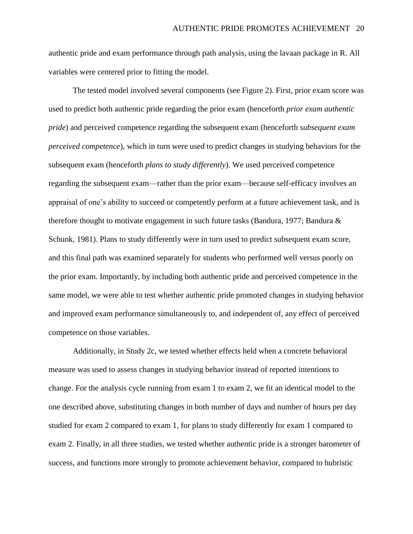authentic pride and exam performance through path analysis, using the lavaan package in R. All variables were centered prior to fitting the model.

The tested model involved several components (see Figure 2). First, prior exam score was used to predict both authentic pride regarding the prior exam (henceforth *prior exam authentic pride*) and perceived competence regarding the subsequent exam (henceforth *subsequent exam perceived competence*), which in turn were used to predict changes in studying behaviors for the subsequent exam (henceforth *plans to study differently*). We used perceived competence regarding the subsequent exam—rather than the prior exam—because self-efficacy involves an appraisal of one's ability to succeed or competently perform at a future achievement task, and is therefore thought to motivate engagement in such future tasks (Bandura, 1977; Bandura & Schunk, 1981). Plans to study differently were in turn used to predict subsequent exam score, and this final path was examined separately for students who performed well versus poorly on the prior exam. Importantly, by including both authentic pride and perceived competence in the same model, we were able to test whether authentic pride promoted changes in studying behavior and improved exam performance simultaneously to, and independent of, any effect of perceived competence on those variables.

Additionally, in Study 2c, we tested whether effects held when a concrete behavioral measure was used to assess changes in studying behavior instead of reported intentions to change. For the analysis cycle running from exam 1 to exam 2, we fit an identical model to the one described above, substituting changes in both number of days and number of hours per day studied for exam 2 compared to exam 1, for plans to study differently for exam 1 compared to exam 2. Finally, in all three studies, we tested whether authentic pride is a stronger barometer of success, and functions more strongly to promote achievement behavior, compared to hubristic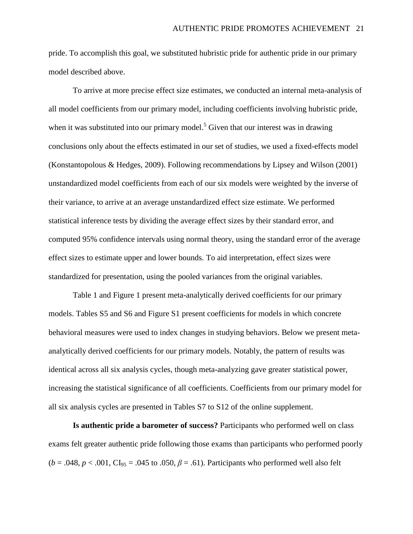pride. To accomplish this goal, we substituted hubristic pride for authentic pride in our primary model described above.

To arrive at more precise effect size estimates, we conducted an internal meta-analysis of all model coefficients from our primary model, including coefficients involving hubristic pride, when it was substituted into our primary model.<sup>5</sup> Given that our interest was in drawing conclusions only about the effects estimated in our set of studies, we used a fixed-effects model (Konstantopolous & Hedges, 2009). Following recommendations by Lipsey and Wilson (2001) unstandardized model coefficients from each of our six models were weighted by the inverse of their variance, to arrive at an average unstandardized effect size estimate. We performed statistical inference tests by dividing the average effect sizes by their standard error, and computed 95% confidence intervals using normal theory, using the standard error of the average effect sizes to estimate upper and lower bounds. To aid interpretation, effect sizes were standardized for presentation, using the pooled variances from the original variables.

Table 1 and Figure 1 present meta-analytically derived coefficients for our primary models. Tables S5 and S6 and Figure S1 present coefficients for models in which concrete behavioral measures were used to index changes in studying behaviors. Below we present metaanalytically derived coefficients for our primary models. Notably, the pattern of results was identical across all six analysis cycles, though meta-analyzing gave greater statistical power, increasing the statistical significance of all coefficients. Coefficients from our primary model for all six analysis cycles are presented in Tables S7 to S12 of the online supplement.

**Is authentic pride a barometer of success?** Participants who performed well on class exams felt greater authentic pride following those exams than participants who performed poorly  $(b = .048, p < .001, Cl<sub>95</sub> = .045$  to  $.050, \beta = .61$ ). Participants who performed well also felt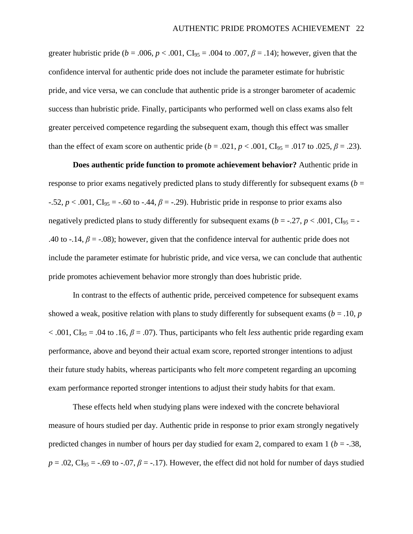greater hubristic pride ( $b = .006$ ,  $p < .001$ , CI<sub>95</sub> = .004 to .007,  $\beta = .14$ ); however, given that the confidence interval for authentic pride does not include the parameter estimate for hubristic pride, and vice versa, we can conclude that authentic pride is a stronger barometer of academic success than hubristic pride. Finally, participants who performed well on class exams also felt greater perceived competence regarding the subsequent exam, though this effect was smaller than the effect of exam score on authentic pride ( $b = .021$ ,  $p < .001$ , CI<sub>95</sub> = .017 to .025,  $\beta = .23$ ).

**Does authentic pride function to promote achievement behavior?** Authentic pride in response to prior exams negatively predicted plans to study differently for subsequent exams  $(b =$  $-0.52$ ,  $p < 0.001$ , CI<sub>95</sub> =  $-0.60$  to  $-0.44$ ,  $\beta = -0.29$ . Hubristic pride in response to prior exams also negatively predicted plans to study differently for subsequent exams ( $b = -0.27$ ,  $p < 0.001$ , CI<sub>95</sub> = -.40 to -.14,  $\beta$  = -.08); however, given that the confidence interval for authentic pride does not include the parameter estimate for hubristic pride, and vice versa, we can conclude that authentic pride promotes achievement behavior more strongly than does hubristic pride.

In contrast to the effects of authentic pride, perceived competence for subsequent exams showed a weak, positive relation with plans to study differently for subsequent exams ( $b = .10$ ,  $p$ )  $< .001$ , CI<sub>95</sub> = .04 to .16,  $\beta$  = .07). Thus, participants who felt *less* authentic pride regarding exam performance, above and beyond their actual exam score, reported stronger intentions to adjust their future study habits, whereas participants who felt *more* competent regarding an upcoming exam performance reported stronger intentions to adjust their study habits for that exam.

These effects held when studying plans were indexed with the concrete behavioral measure of hours studied per day. Authentic pride in response to prior exam strongly negatively predicted changes in number of hours per day studied for exam 2, compared to exam  $1 (b = -0.38)$ ,  $p = .02$ ,  $CI_{95} = -.69$  to  $-.07$ ,  $\beta = -.17$ ). However, the effect did not hold for number of days studied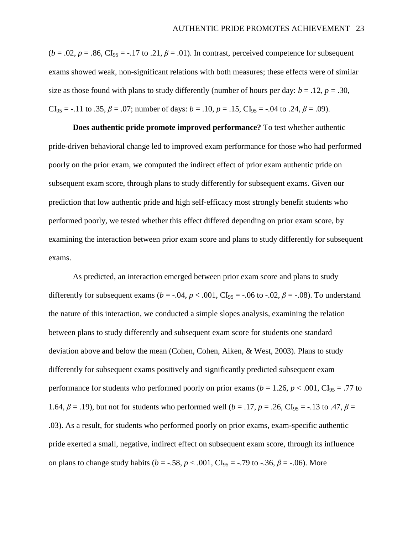$(b = .02, p = .86, Cl<sub>95</sub> = -.17$  to .21,  $\beta = .01$ ). In contrast, perceived competence for subsequent exams showed weak, non-significant relations with both measures; these effects were of similar size as those found with plans to study differently (number of hours per day:  $b = .12$ ,  $p = .30$ , CI<sub>95</sub> = -.11 to .35,  $\beta$  = .07; number of days: *b* = .10, *p* = .15, CI<sub>95</sub> = -.04 to .24,  $\beta$  = .09).

**Does authentic pride promote improved performance?** To test whether authentic pride-driven behavioral change led to improved exam performance for those who had performed poorly on the prior exam, we computed the indirect effect of prior exam authentic pride on subsequent exam score, through plans to study differently for subsequent exams. Given our prediction that low authentic pride and high self-efficacy most strongly benefit students who performed poorly, we tested whether this effect differed depending on prior exam score, by examining the interaction between prior exam score and plans to study differently for subsequent exams.

As predicted, an interaction emerged between prior exam score and plans to study differently for subsequent exams ( $b = -.04$ ,  $p < .001$ , CI<sub>95</sub> = -.06 to -.02,  $\beta$  = -.08). To understand the nature of this interaction, we conducted a simple slopes analysis, examining the relation between plans to study differently and subsequent exam score for students one standard deviation above and below the mean (Cohen, Cohen, Aiken, & West, 2003). Plans to study differently for subsequent exams positively and significantly predicted subsequent exam performance for students who performed poorly on prior exams ( $b = 1.26$ ,  $p < .001$ , CI<sub>95</sub> = .77 to 1.64,  $β = .19$ ), but not for students who performed well (*b* = .17, *p* = .26, CI<sub>95</sub> = -.13 to .47, *β* = .03). As a result, for students who performed poorly on prior exams, exam-specific authentic pride exerted a small, negative, indirect effect on subsequent exam score, through its influence on plans to change study habits ( $b = -.58$ ,  $p < .001$ , CI<sub>95</sub> = -.79 to -.36,  $\beta$  = -.06). More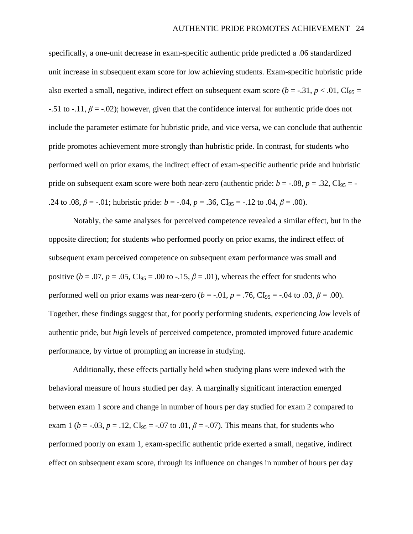specifically, a one-unit decrease in exam-specific authentic pride predicted a .06 standardized unit increase in subsequent exam score for low achieving students. Exam-specific hubristic pride also exerted a small, negative, indirect effect on subsequent exam score ( $b = -0.31$ ,  $p < 0.01$ , CI<sub>95</sub> =  $-0.51$  to  $-0.11$ ,  $\beta = -0.02$ ); however, given that the confidence interval for authentic pride does not include the parameter estimate for hubristic pride, and vice versa, we can conclude that authentic pride promotes achievement more strongly than hubristic pride. In contrast, for students who performed well on prior exams, the indirect effect of exam-specific authentic pride and hubristic pride on subsequent exam score were both near-zero (authentic pride:  $b = -0.08$ ,  $p = 0.32$ , CI<sub>95</sub> = -.24 to .08,  $\beta$  = -.01; hubristic pride: *b* = -.04, *p* = .36, CI<sub>95</sub> = -.12 to .04,  $\beta$  = .00).

Notably, the same analyses for perceived competence revealed a similar effect, but in the opposite direction; for students who performed poorly on prior exams, the indirect effect of subsequent exam perceived competence on subsequent exam performance was small and positive ( $b = .07$ ,  $p = .05$ , CI<sub>95</sub> = .00 to -.15,  $\beta = .01$ ), whereas the effect for students who performed well on prior exams was near-zero  $(b = -0.01, p = 0.76, \text{CI}_9 = -0.04$  to  $0.03, \beta = 0.00$ . Together, these findings suggest that, for poorly performing students, experiencing *low* levels of authentic pride, but *high* levels of perceived competence, promoted improved future academic performance, by virtue of prompting an increase in studying.

Additionally, these effects partially held when studying plans were indexed with the behavioral measure of hours studied per day. A marginally significant interaction emerged between exam 1 score and change in number of hours per day studied for exam 2 compared to exam 1 ( $b = -0.03$ ,  $p = 0.12$ , CI<sub>95</sub> = -0.07 to 0.01,  $\beta = -0.07$ ). This means that, for students who performed poorly on exam 1, exam-specific authentic pride exerted a small, negative, indirect effect on subsequent exam score, through its influence on changes in number of hours per day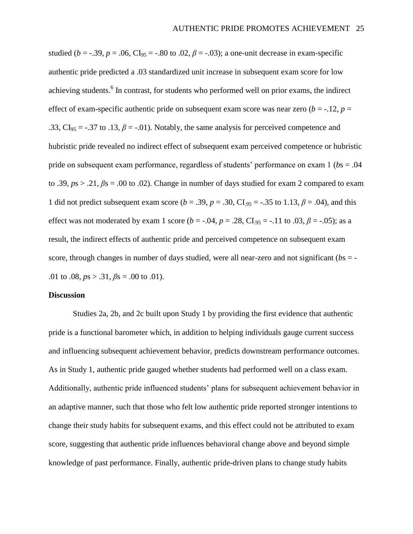studied ( $b = -0.39$ ,  $p = 0.06$ , CI<sub>95</sub> = -.80 to .02,  $\beta = -0.03$ ); a one-unit decrease in exam-specific authentic pride predicted a .03 standardized unit increase in subsequent exam score for low achieving students.<sup>6</sup> In contrast, for students who performed well on prior exams, the indirect effect of exam-specific authentic pride on subsequent exam score was near zero  $(b = -12, p = 12)$ .33,  $CI_{95} = -.37$  to .13,  $\beta = -.01$ ). Notably, the same analysis for perceived competence and hubristic pride revealed no indirect effect of subsequent exam perceived competence or hubristic pride on subsequent exam performance, regardless of students' performance on exam 1 (*b*s = .04 to .39, *p*s > .21, *β*s = .00 to .02). Change in number of days studied for exam 2 compared to exam 1 did not predict subsequent exam score ( $b = .39$ ,  $p = .30$ , CI<sub>95</sub> = -.35 to 1.13,  $\beta = .04$ ), and this effect was not moderated by exam 1 score ( $b = -.04$ ,  $p = .28$ , CI<sub>.95</sub> = -.11 to .03,  $\beta = -.05$ ); as a result, the indirect effects of authentic pride and perceived competence on subsequent exam score, through changes in number of days studied, were all near-zero and not significant (*b*s = - .01 to .08,  $ps > .31$ ,  $\beta s = .00$  to .01).

#### **Discussion**

Studies 2a, 2b, and 2c built upon Study 1 by providing the first evidence that authentic pride is a functional barometer which, in addition to helping individuals gauge current success and influencing subsequent achievement behavior, predicts downstream performance outcomes. As in Study 1, authentic pride gauged whether students had performed well on a class exam. Additionally, authentic pride influenced students' plans for subsequent achievement behavior in an adaptive manner, such that those who felt low authentic pride reported stronger intentions to change their study habits for subsequent exams, and this effect could not be attributed to exam score, suggesting that authentic pride influences behavioral change above and beyond simple knowledge of past performance. Finally, authentic pride-driven plans to change study habits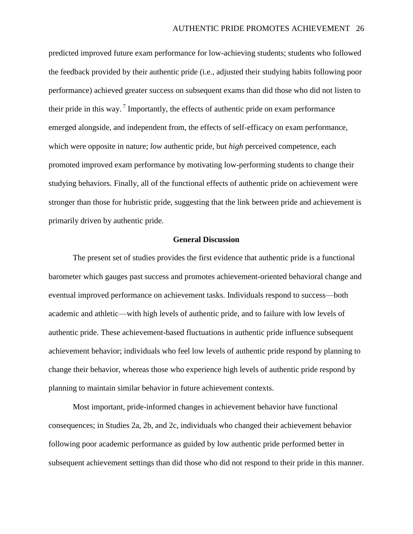predicted improved future exam performance for low-achieving students; students who followed the feedback provided by their authentic pride (i.e., adjusted their studying habits following poor performance) achieved greater success on subsequent exams than did those who did not listen to their pride in this way.<sup>7</sup> Importantly, the effects of authentic pride on exam performance emerged alongside, and independent from, the effects of self-efficacy on exam performance, which were opposite in nature; *low* authentic pride, but *high* perceived competence, each promoted improved exam performance by motivating low-performing students to change their studying behaviors. Finally, all of the functional effects of authentic pride on achievement were stronger than those for hubristic pride, suggesting that the link between pride and achievement is primarily driven by authentic pride.

#### **General Discussion**

The present set of studies provides the first evidence that authentic pride is a functional barometer which gauges past success and promotes achievement-oriented behavioral change and eventual improved performance on achievement tasks. Individuals respond to success—both academic and athletic—with high levels of authentic pride, and to failure with low levels of authentic pride. These achievement-based fluctuations in authentic pride influence subsequent achievement behavior; individuals who feel low levels of authentic pride respond by planning to change their behavior, whereas those who experience high levels of authentic pride respond by planning to maintain similar behavior in future achievement contexts.

Most important, pride-informed changes in achievement behavior have functional consequences; in Studies 2a, 2b, and 2c, individuals who changed their achievement behavior following poor academic performance as guided by low authentic pride performed better in subsequent achievement settings than did those who did not respond to their pride in this manner.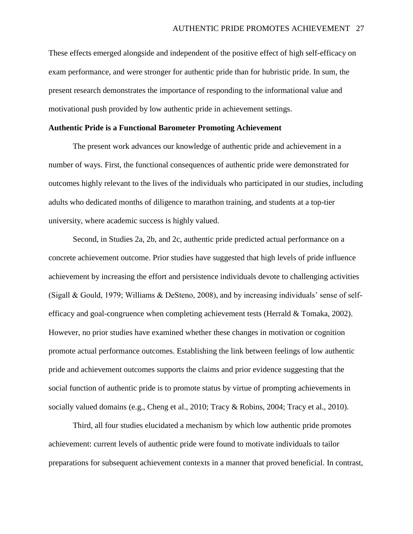These effects emerged alongside and independent of the positive effect of high self-efficacy on exam performance, and were stronger for authentic pride than for hubristic pride. In sum, the present research demonstrates the importance of responding to the informational value and motivational push provided by low authentic pride in achievement settings.

#### **Authentic Pride is a Functional Barometer Promoting Achievement**

The present work advances our knowledge of authentic pride and achievement in a number of ways. First, the functional consequences of authentic pride were demonstrated for outcomes highly relevant to the lives of the individuals who participated in our studies, including adults who dedicated months of diligence to marathon training, and students at a top-tier university, where academic success is highly valued.

Second, in Studies 2a, 2b, and 2c, authentic pride predicted actual performance on a concrete achievement outcome. Prior studies have suggested that high levels of pride influence achievement by increasing the effort and persistence individuals devote to challenging activities (Sigall & Gould, 1979; Williams & DeSteno, 2008), and by increasing individuals' sense of selfefficacy and goal-congruence when completing achievement tests (Herrald  $&$  Tomaka, 2002). However, no prior studies have examined whether these changes in motivation or cognition promote actual performance outcomes. Establishing the link between feelings of low authentic pride and achievement outcomes supports the claims and prior evidence suggesting that the social function of authentic pride is to promote status by virtue of prompting achievements in socially valued domains (e.g., Cheng et al., 2010; Tracy & Robins, 2004; Tracy et al., 2010).

Third, all four studies elucidated a mechanism by which low authentic pride promotes achievement: current levels of authentic pride were found to motivate individuals to tailor preparations for subsequent achievement contexts in a manner that proved beneficial. In contrast,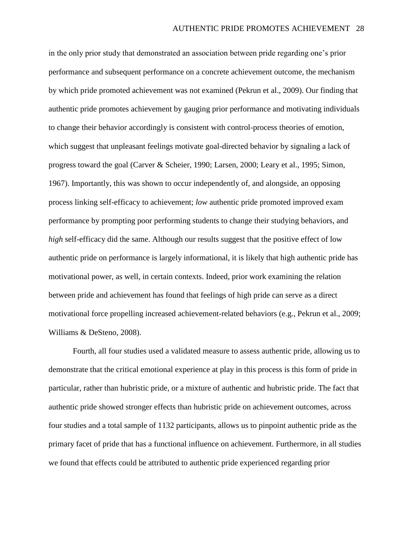in the only prior study that demonstrated an association between pride regarding one's prior performance and subsequent performance on a concrete achievement outcome, the mechanism by which pride promoted achievement was not examined (Pekrun et al., 2009). Our finding that authentic pride promotes achievement by gauging prior performance and motivating individuals to change their behavior accordingly is consistent with control-process theories of emotion, which suggest that unpleasant feelings motivate goal-directed behavior by signaling a lack of progress toward the goal (Carver & Scheier, 1990; Larsen, 2000; Leary et al., 1995; Simon, 1967). Importantly, this was shown to occur independently of, and alongside, an opposing process linking self-efficacy to achievement; *low* authentic pride promoted improved exam performance by prompting poor performing students to change their studying behaviors, and *high* self-efficacy did the same. Although our results suggest that the positive effect of low authentic pride on performance is largely informational, it is likely that high authentic pride has motivational power, as well, in certain contexts. Indeed, prior work examining the relation between pride and achievement has found that feelings of high pride can serve as a direct motivational force propelling increased achievement-related behaviors (e.g., Pekrun et al., 2009; Williams & DeSteno, 2008).

Fourth, all four studies used a validated measure to assess authentic pride, allowing us to demonstrate that the critical emotional experience at play in this process is this form of pride in particular, rather than hubristic pride, or a mixture of authentic and hubristic pride. The fact that authentic pride showed stronger effects than hubristic pride on achievement outcomes, across four studies and a total sample of 1132 participants, allows us to pinpoint authentic pride as the primary facet of pride that has a functional influence on achievement. Furthermore, in all studies we found that effects could be attributed to authentic pride experienced regarding prior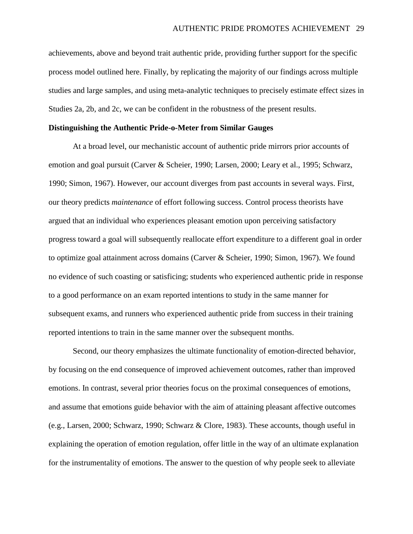achievements, above and beyond trait authentic pride, providing further support for the specific process model outlined here. Finally, by replicating the majority of our findings across multiple studies and large samples, and using meta-analytic techniques to precisely estimate effect sizes in Studies 2a, 2b, and 2c, we can be confident in the robustness of the present results.

### **Distinguishing the Authentic Pride-o-Meter from Similar Gauges**

At a broad level, our mechanistic account of authentic pride mirrors prior accounts of emotion and goal pursuit (Carver & Scheier, 1990; Larsen, 2000; Leary et al., 1995; Schwarz, 1990; Simon, 1967). However, our account diverges from past accounts in several ways. First, our theory predicts *maintenance* of effort following success. Control process theorists have argued that an individual who experiences pleasant emotion upon perceiving satisfactory progress toward a goal will subsequently reallocate effort expenditure to a different goal in order to optimize goal attainment across domains (Carver & Scheier, 1990; Simon, 1967). We found no evidence of such coasting or satisficing; students who experienced authentic pride in response to a good performance on an exam reported intentions to study in the same manner for subsequent exams, and runners who experienced authentic pride from success in their training reported intentions to train in the same manner over the subsequent months.

Second, our theory emphasizes the ultimate functionality of emotion-directed behavior, by focusing on the end consequence of improved achievement outcomes, rather than improved emotions. In contrast, several prior theories focus on the proximal consequences of emotions, and assume that emotions guide behavior with the aim of attaining pleasant affective outcomes (e.g., Larsen, 2000; Schwarz, 1990; Schwarz & Clore, 1983). These accounts, though useful in explaining the operation of emotion regulation, offer little in the way of an ultimate explanation for the instrumentality of emotions. The answer to the question of why people seek to alleviate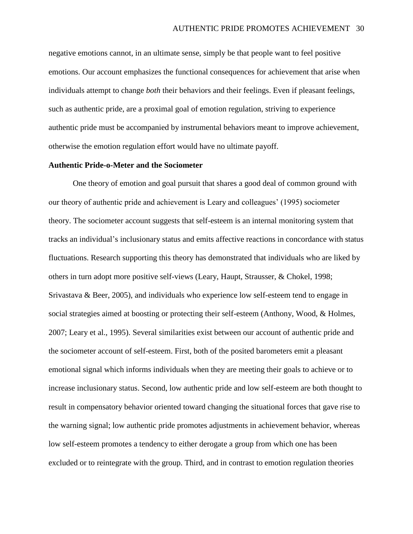negative emotions cannot, in an ultimate sense, simply be that people want to feel positive emotions. Our account emphasizes the functional consequences for achievement that arise when individuals attempt to change *both* their behaviors and their feelings. Even if pleasant feelings, such as authentic pride, are a proximal goal of emotion regulation, striving to experience authentic pride must be accompanied by instrumental behaviors meant to improve achievement, otherwise the emotion regulation effort would have no ultimate payoff.

## **Authentic Pride-o-Meter and the Sociometer**

One theory of emotion and goal pursuit that shares a good deal of common ground with our theory of authentic pride and achievement is Leary and colleagues' (1995) sociometer theory. The sociometer account suggests that self-esteem is an internal monitoring system that tracks an individual's inclusionary status and emits affective reactions in concordance with status fluctuations. Research supporting this theory has demonstrated that individuals who are liked by others in turn adopt more positive self-views (Leary, Haupt, Strausser, & Chokel, 1998; Srivastava & Beer, 2005), and individuals who experience low self-esteem tend to engage in social strategies aimed at boosting or protecting their self-esteem (Anthony, Wood, & Holmes, 2007; Leary et al., 1995). Several similarities exist between our account of authentic pride and the sociometer account of self-esteem. First, both of the posited barometers emit a pleasant emotional signal which informs individuals when they are meeting their goals to achieve or to increase inclusionary status. Second, low authentic pride and low self-esteem are both thought to result in compensatory behavior oriented toward changing the situational forces that gave rise to the warning signal; low authentic pride promotes adjustments in achievement behavior, whereas low self-esteem promotes a tendency to either derogate a group from which one has been excluded or to reintegrate with the group. Third, and in contrast to emotion regulation theories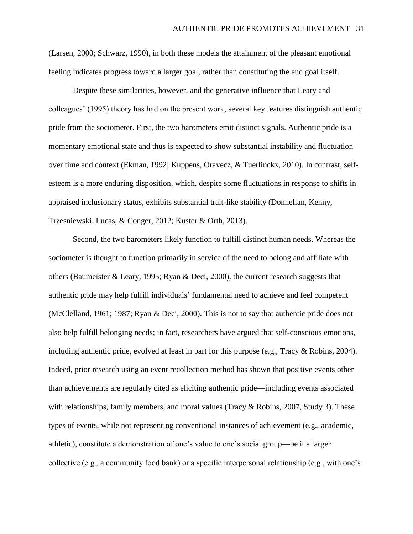(Larsen, 2000; Schwarz, 1990), in both these models the attainment of the pleasant emotional feeling indicates progress toward a larger goal, rather than constituting the end goal itself.

Despite these similarities, however, and the generative influence that Leary and colleagues' (1995) theory has had on the present work, several key features distinguish authentic pride from the sociometer. First, the two barometers emit distinct signals. Authentic pride is a momentary emotional state and thus is expected to show substantial instability and fluctuation over time and context (Ekman, 1992; Kuppens, Oravecz, & Tuerlinckx, 2010). In contrast, selfesteem is a more enduring disposition, which, despite some fluctuations in response to shifts in appraised inclusionary status, exhibits substantial trait-like stability (Donnellan, Kenny, Trzesniewski, Lucas, & Conger, 2012; Kuster & Orth, 2013).

Second, the two barometers likely function to fulfill distinct human needs. Whereas the sociometer is thought to function primarily in service of the need to belong and affiliate with others (Baumeister & Leary, 1995; Ryan & Deci, 2000), the current research suggests that authentic pride may help fulfill individuals' fundamental need to achieve and feel competent (McClelland, 1961; 1987; Ryan & Deci, 2000). This is not to say that authentic pride does not also help fulfill belonging needs; in fact, researchers have argued that self-conscious emotions, including authentic pride, evolved at least in part for this purpose (e.g., Tracy & Robins, 2004). Indeed, prior research using an event recollection method has shown that positive events other than achievements are regularly cited as eliciting authentic pride—including events associated with relationships, family members, and moral values (Tracy  $\&$  Robins, 2007, Study 3). These types of events, while not representing conventional instances of achievement (e.g., academic, athletic), constitute a demonstration of one's value to one's social group—be it a larger collective (e.g., a community food bank) or a specific interpersonal relationship (e.g., with one's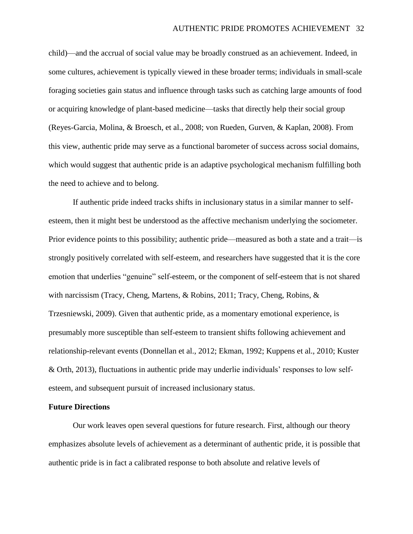child)—and the accrual of social value may be broadly construed as an achievement. Indeed, in some cultures, achievement is typically viewed in these broader terms; individuals in small-scale foraging societies gain status and influence through tasks such as catching large amounts of food or acquiring knowledge of plant-based medicine—tasks that directly help their social group (Reyes-Garcia, Molina, & Broesch, et al., 2008; von Rueden, Gurven, & Kaplan, 2008). From this view, authentic pride may serve as a functional barometer of success across social domains, which would suggest that authentic pride is an adaptive psychological mechanism fulfilling both the need to achieve and to belong.

If authentic pride indeed tracks shifts in inclusionary status in a similar manner to selfesteem, then it might best be understood as the affective mechanism underlying the sociometer. Prior evidence points to this possibility; authentic pride—measured as both a state and a trait—is strongly positively correlated with self-esteem, and researchers have suggested that it is the core emotion that underlies "genuine" self-esteem, or the component of self-esteem that is not shared with narcissism (Tracy, Cheng, Martens, & Robins, 2011; Tracy, Cheng, Robins, & Trzesniewski, 2009). Given that authentic pride, as a momentary emotional experience, is presumably more susceptible than self-esteem to transient shifts following achievement and relationship-relevant events (Donnellan et al., 2012; Ekman, 1992; Kuppens et al., 2010; Kuster & Orth, 2013), fluctuations in authentic pride may underlie individuals' responses to low selfesteem, and subsequent pursuit of increased inclusionary status.

### **Future Directions**

Our work leaves open several questions for future research. First, although our theory emphasizes absolute levels of achievement as a determinant of authentic pride, it is possible that authentic pride is in fact a calibrated response to both absolute and relative levels of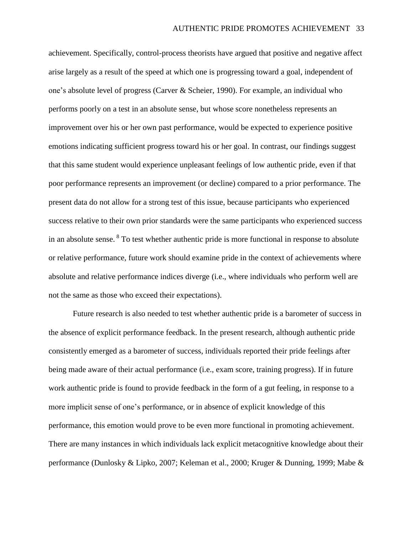achievement. Specifically, control-process theorists have argued that positive and negative affect arise largely as a result of the speed at which one is progressing toward a goal, independent of one's absolute level of progress (Carver & Scheier, 1990). For example, an individual who performs poorly on a test in an absolute sense, but whose score nonetheless represents an improvement over his or her own past performance, would be expected to experience positive emotions indicating sufficient progress toward his or her goal. In contrast, our findings suggest that this same student would experience unpleasant feelings of low authentic pride, even if that poor performance represents an improvement (or decline) compared to a prior performance. The present data do not allow for a strong test of this issue, because participants who experienced success relative to their own prior standards were the same participants who experienced success in an absolute sense. <sup>8</sup> To test whether authentic pride is more functional in response to absolute or relative performance, future work should examine pride in the context of achievements where absolute and relative performance indices diverge (i.e., where individuals who perform well are not the same as those who exceed their expectations).

Future research is also needed to test whether authentic pride is a barometer of success in the absence of explicit performance feedback. In the present research, although authentic pride consistently emerged as a barometer of success, individuals reported their pride feelings after being made aware of their actual performance (i.e., exam score, training progress). If in future work authentic pride is found to provide feedback in the form of a gut feeling, in response to a more implicit sense of one's performance, or in absence of explicit knowledge of this performance, this emotion would prove to be even more functional in promoting achievement. There are many instances in which individuals lack explicit metacognitive knowledge about their performance (Dunlosky & Lipko, 2007; Keleman et al., 2000; Kruger & Dunning, 1999; Mabe &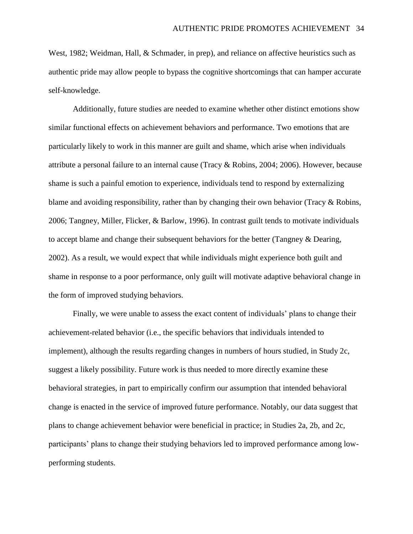West, 1982; Weidman, Hall, & Schmader, in prep), and reliance on affective heuristics such as authentic pride may allow people to bypass the cognitive shortcomings that can hamper accurate self-knowledge.

Additionally, future studies are needed to examine whether other distinct emotions show similar functional effects on achievement behaviors and performance. Two emotions that are particularly likely to work in this manner are guilt and shame, which arise when individuals attribute a personal failure to an internal cause (Tracy & Robins, 2004; 2006). However, because shame is such a painful emotion to experience, individuals tend to respond by externalizing blame and avoiding responsibility, rather than by changing their own behavior (Tracy & Robins, 2006; Tangney, Miller, Flicker, & Barlow, 1996). In contrast guilt tends to motivate individuals to accept blame and change their subsequent behaviors for the better (Tangney & Dearing, 2002). As a result, we would expect that while individuals might experience both guilt and shame in response to a poor performance, only guilt will motivate adaptive behavioral change in the form of improved studying behaviors.

Finally, we were unable to assess the exact content of individuals' plans to change their achievement-related behavior (i.e., the specific behaviors that individuals intended to implement), although the results regarding changes in numbers of hours studied, in Study 2c, suggest a likely possibility. Future work is thus needed to more directly examine these behavioral strategies, in part to empirically confirm our assumption that intended behavioral change is enacted in the service of improved future performance. Notably, our data suggest that plans to change achievement behavior were beneficial in practice; in Studies 2a, 2b, and 2c, participants' plans to change their studying behaviors led to improved performance among lowperforming students.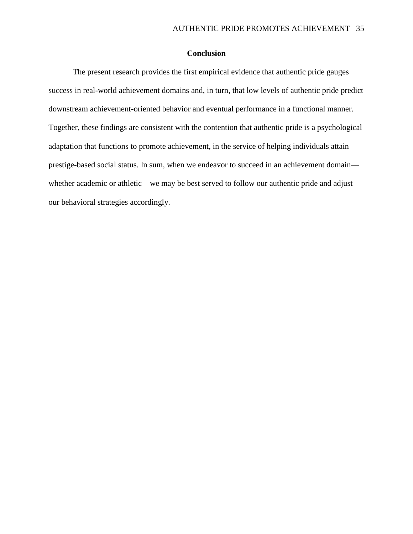## **Conclusion**

The present research provides the first empirical evidence that authentic pride gauges success in real-world achievement domains and, in turn, that low levels of authentic pride predict downstream achievement-oriented behavior and eventual performance in a functional manner. Together, these findings are consistent with the contention that authentic pride is a psychological adaptation that functions to promote achievement, in the service of helping individuals attain prestige-based social status. In sum, when we endeavor to succeed in an achievement domain whether academic or athletic—we may be best served to follow our authentic pride and adjust our behavioral strategies accordingly.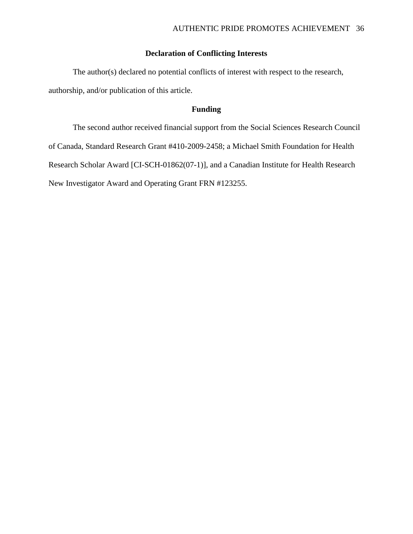# **Declaration of Conflicting Interests**

The author(s) declared no potential conflicts of interest with respect to the research, authorship, and/or publication of this article.

## **Funding**

The second author received financial support from the Social Sciences Research Council of Canada, Standard Research Grant #410-2009-2458; a Michael Smith Foundation for Health Research Scholar Award [CI-SCH-01862(07-1)], and a Canadian Institute for Health Research New Investigator Award and Operating Grant FRN #123255.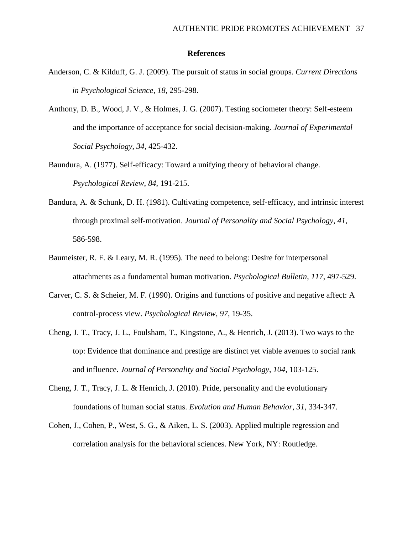#### **References**

- Anderson, C. & Kilduff, G. J. (2009). The pursuit of status in social groups. *Current Directions in Psychological Science*, *18*, 295-298.
- Anthony, D. B., Wood, J. V., & Holmes, J. G. (2007). Testing sociometer theory: Self-esteem and the importance of acceptance for social decision-making. *Journal of Experimental Social Psychology*, *34*, 425-432.
- Baundura, A. (1977). Self-efficacy: Toward a unifying theory of behavioral change. *Psychological Review*, *84*, 191-215.
- Bandura, A. & Schunk, D. H. (1981). Cultivating competence, self-efficacy, and intrinsic interest through proximal self-motivation. *Journal of Personality and Social Psychology*, *41*, 586-598.
- Baumeister, R. F. & Leary, M. R. (1995). The need to belong: Desire for interpersonal attachments as a fundamental human motivation. *Psychological Bulletin*, *117*, 497-529.
- Carver, C. S. & Scheier, M. F. (1990). Origins and functions of positive and negative affect: A control-process view. *Psychological Review*, *97*, 19-35.
- Cheng, J. T., Tracy, J. L., Foulsham, T., Kingstone, A., & Henrich, J. (2013). Two ways to the top: Evidence that dominance and prestige are distinct yet viable avenues to social rank and influence. *Journal of Personality and Social Psychology*, *104*, 103-125.
- Cheng, J. T., Tracy, J. L. & Henrich, J. (2010). Pride, personality and the evolutionary foundations of human social status. *Evolution and Human Behavior*, *31*, 334-347.
- Cohen, J., Cohen, P., West, S. G., & Aiken, L. S. (2003). Applied multiple regression and correlation analysis for the behavioral sciences. New York, NY: Routledge.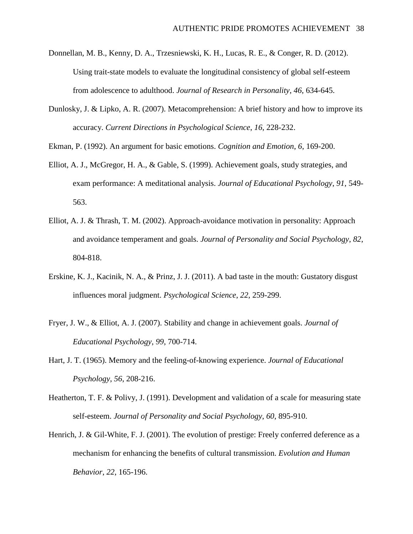- Donnellan, M. B., Kenny, D. A., Trzesniewski, K. H., Lucas, R. E., & Conger, R. D. (2012). Using trait-state models to evaluate the longitudinal consistency of global self-esteem from adolescence to adulthood. *Journal of Research in Personality*, *46*, 634-645.
- Dunlosky, J. & Lipko, A. R. (2007). Metacomprehension: A brief history and how to improve its accuracy. *Current Directions in Psychological Science*, *16*, 228-232.

Ekman, P. (1992). An argument for basic emotions. *Cognition and Emotion*, *6*, 169-200.

- Elliot, A. J., McGregor, H. A., & Gable, S. (1999). Achievement goals, study strategies, and exam performance: A meditational analysis. *Journal of Educational Psychology*, *91*, 549- 563.
- Elliot, A. J. & Thrash, T. M. (2002). Approach-avoidance motivation in personality: Approach and avoidance temperament and goals. *Journal of Personality and Social Psychology*, *82*, 804-818.
- Erskine, K. J., Kacinik, N. A., & Prinz, J. J. (2011). A bad taste in the mouth: Gustatory disgust influences moral judgment. *Psychological Science*, *22*, 259-299.
- Fryer, J. W., & Elliot, A. J. (2007). Stability and change in achievement goals. *Journal of Educational Psychology*, *99*, 700-714.
- Hart, J. T. (1965). Memory and the feeling-of-knowing experience. *Journal of Educational Psychology*, *56*, 208-216.
- Heatherton, T. F. & Polivy, J. (1991). Development and validation of a scale for measuring state self-esteem. *Journal of Personality and Social Psychology*, *60*, 895-910.
- Henrich, J. & Gil-White, F. J. (2001). The evolution of prestige: Freely conferred deference as a mechanism for enhancing the benefits of cultural transmission. *Evolution and Human Behavior*, *22*, 165-196.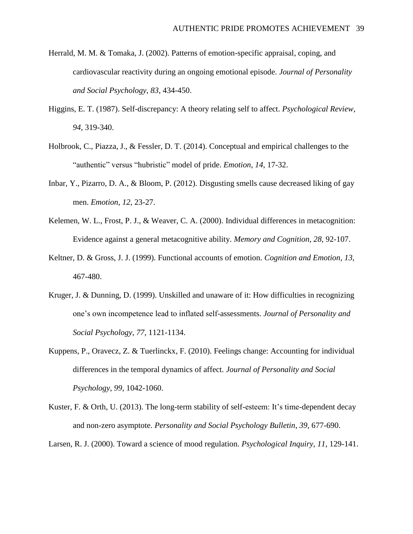- Herrald, M. M. & Tomaka, J. (2002). Patterns of emotion-specific appraisal, coping, and cardiovascular reactivity during an ongoing emotional episode. *Journal of Personality and Social Psychology*, *83*, 434-450.
- Higgins, E. T. (1987). Self-discrepancy: A theory relating self to affect. *Psychological Review*, *94*, 319-340.
- Holbrook, C., Piazza, J., & Fessler, D. T. (2014). Conceptual and empirical challenges to the "authentic" versus "hubristic" model of pride. *Emotion*, *14*, 17-32.
- Inbar, Y., Pizarro, D. A., & Bloom, P. (2012). Disgusting smells cause decreased liking of gay men. *Emotion*, *12*, 23-27.
- Kelemen, W. L., Frost, P. J., & Weaver, C. A. (2000). Individual differences in metacognition: Evidence against a general metacognitive ability. *Memory and Cognition*, *28*, 92-107.
- Keltner, D. & Gross, J. J. (1999). Functional accounts of emotion. *Cognition and Emotion*, *13*, 467-480.
- Kruger, J. & Dunning, D. (1999). Unskilled and unaware of it: How difficulties in recognizing one's own incompetence lead to inflated self-assessments. *Journal of Personality and Social Psychology*, *77*, 1121-1134.
- Kuppens, P., Oravecz, Z. & Tuerlinckx, F. (2010). Feelings change: Accounting for individual differences in the temporal dynamics of affect. *Journal of Personality and Social Psychology*, *99*, 1042-1060.
- Kuster, F. & Orth, U. (2013). The long-term stability of self-esteem: It's time-dependent decay and non-zero asymptote. *Personality and Social Psychology Bulletin*, *39*, 677-690.

Larsen, R. J. (2000). Toward a science of mood regulation. *Psychological Inquiry*, *11*, 129-141.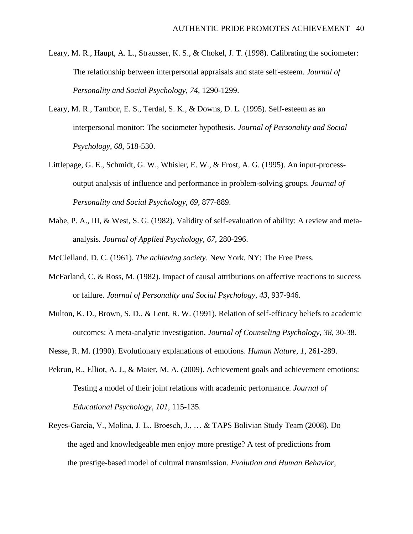- Leary, M. R., Haupt, A. L., Strausser, K. S., & Chokel, J. T. (1998). Calibrating the sociometer: The relationship between interpersonal appraisals and state self-esteem. *Journal of Personality and Social Psychology*, *74*, 1290-1299.
- Leary, M. R., Tambor, E. S., Terdal, S. K., & Downs, D. L. (1995). Self-esteem as an interpersonal monitor: The sociometer hypothesis. *Journal of Personality and Social Psychology*, *68*, 518-530.
- Littlepage, G. E., Schmidt, G. W., Whisler, E. W., & Frost, A. G. (1995). An input-processoutput analysis of influence and performance in problem-solving groups. *Journal of Personality and Social Psychology*, *69*, 877-889.
- Mabe, P. A., III, & West, S. G. (1982). Validity of self-evaluation of ability: A review and metaanalysis. *Journal of Applied Psychology*, *67*, 280-296.

McClelland, D. C. (1961). *The achieving society*. New York, NY: The Free Press.

- McFarland, C. & Ross, M. (1982). Impact of causal attributions on affective reactions to success or failure. *Journal of Personality and Social Psychology*, *43*, 937-946.
- Multon, K. D., Brown, S. D., & Lent, R. W. (1991). Relation of self-efficacy beliefs to academic outcomes: A meta-analytic investigation. *Journal of Counseling Psychology*, *38*, 30-38.
- Nesse, R. M. (1990). Evolutionary explanations of emotions. *Human Nature*, *1*, 261-289.
- Pekrun, R., Elliot, A. J., & Maier, M. A. (2009). Achievement goals and achievement emotions: Testing a model of their joint relations with academic performance. *Journal of Educational Psychology*, *101*, 115-135.
- Reyes-Garcia, V., Molina, J. L., Broesch, J., … & TAPS Bolivian Study Team (2008). Do the aged and knowledgeable men enjoy more prestige? A test of predictions from the prestige-based model of cultural transmission. *Evolution and Human Behavior*,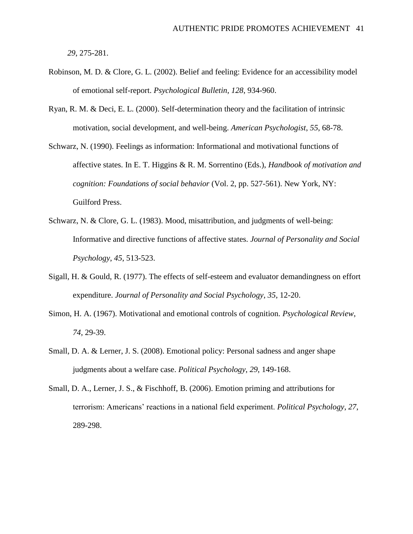*29*, 275-281.

- Robinson, M. D. & Clore, G. L. (2002). Belief and feeling: Evidence for an accessibility model of emotional self-report. *Psychological Bulletin*, *128*, 934-960.
- Ryan, R. M. & Deci, E. L. (2000). Self-determination theory and the facilitation of intrinsic motivation, social development, and well-being. *American Psychologist*, *55*, 68-78.
- Schwarz, N. (1990). Feelings as information: Informational and motivational functions of affective states. In E. T. Higgins & R. M. Sorrentino (Eds.), *Handbook of motivation and cognition: Foundations of social behavior* (Vol. 2, pp. 527-561). New York, NY: Guilford Press.
- Schwarz, N. & Clore, G. L. (1983). Mood, misattribution, and judgments of well-being: Informative and directive functions of affective states. *Journal of Personality and Social Psychology*, *45*, 513-523.
- Sigall, H. & Gould, R. (1977). The effects of self-esteem and evaluator demandingness on effort expenditure. *Journal of Personality and Social Psychology*, *35*, 12-20.
- Simon, H. A. (1967). Motivational and emotional controls of cognition. *Psychological Review*, *74*, 29-39.
- Small, D. A. & Lerner, J. S. (2008). Emotional policy: Personal sadness and anger shape judgments about a welfare case. *Political Psychology*, *29*, 149-168.
- Small, D. A., Lerner, J. S., & Fischhoff, B. (2006). Emotion priming and attributions for terrorism: Americans' reactions in a national field experiment. *Political Psychology*, *27*, 289-298.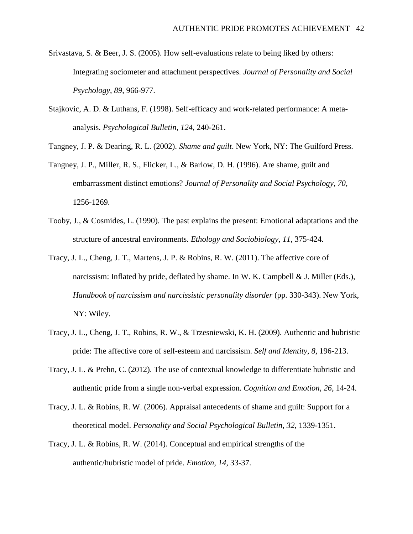- Srivastava, S. & Beer, J. S. (2005). How self-evaluations relate to being liked by others: Integrating sociometer and attachment perspectives. *Journal of Personality and Social Psychology*, *89*, 966-977.
- Stajkovic, A. D. & Luthans, F. (1998). Self-efficacy and work-related performance: A metaanalysis. *Psychological Bulletin*, *124*, 240-261.
- Tangney, J. P. & Dearing, R. L. (2002). *Shame and guilt*. New York, NY: The Guilford Press.
- Tangney, J. P., Miller, R. S., Flicker, L., & Barlow, D. H. (1996). Are shame, guilt and embarrassment distinct emotions? *Journal of Personality and Social Psychology*, *70*, 1256-1269.
- Tooby, J., & Cosmides, L. (1990). The past explains the present: Emotional adaptations and the structure of ancestral environments. *Ethology and Sociobiology, 11*, 375-424.
- Tracy, J. L., Cheng, J. T., Martens, J. P. & Robins, R. W. (2011). The affective core of narcissism: Inflated by pride, deflated by shame. In W. K. Campbell  $& J.$  Miller (Eds.), *Handbook of narcissism and narcissistic personality disorder* (pp. 330-343). New York, NY: Wiley.
- Tracy, J. L., Cheng, J. T., Robins, R. W., & Trzesniewski, K. H. (2009). Authentic and hubristic pride: The affective core of self-esteem and narcissism. *Self and Identity*, *8*, 196-213.
- Tracy, J. L. & Prehn, C. (2012). The use of contextual knowledge to differentiate hubristic and authentic pride from a single non-verbal expression. *Cognition and Emotion*, *26*, 14-24.
- Tracy, J. L. & Robins, R. W. (2006). Appraisal antecedents of shame and guilt: Support for a theoretical model. *Personality and Social Psychological Bulletin*, *32*, 1339-1351.
- Tracy, J. L. & Robins, R. W. (2014). Conceptual and empirical strengths of the authentic/hubristic model of pride. *Emotion*, *14*, 33-37.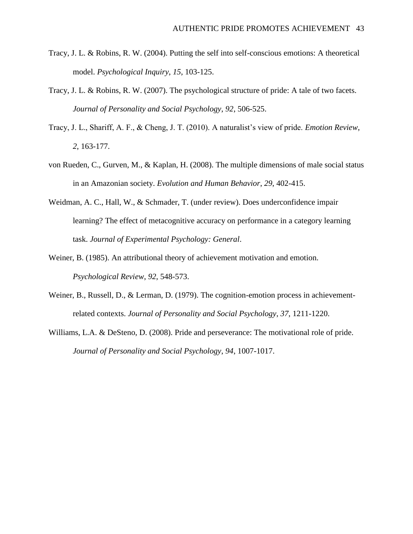- Tracy, J. L. & Robins, R. W. (2004). Putting the self into self-conscious emotions: A theoretical model. *Psychological Inquiry*, *15*, 103-125.
- Tracy, J. L. & Robins, R. W. (2007). The psychological structure of pride: A tale of two facets. *Journal of Personality and Social Psychology*, *92*, 506-525.
- Tracy, J. L., Shariff, A. F., & Cheng, J. T. (2010). A naturalist's view of pride. *Emotion Review*, *2*, 163-177.
- von Rueden, C., Gurven, M., & Kaplan, H. (2008). The multiple dimensions of male social status in an Amazonian society. *Evolution and Human Behavior*, *29*, 402-415.
- Weidman, A. C., Hall, W., & Schmader, T. (under review). Does underconfidence impair learning? The effect of metacognitive accuracy on performance in a category learning task. *Journal of Experimental Psychology: General*.
- Weiner, B. (1985). An attributional theory of achievement motivation and emotion. *Psychological Review*, *92*, 548-573.
- Weiner, B., Russell, D., & Lerman, D. (1979). The cognition-emotion process in achievementrelated contexts. *Journal of Personality and Social Psychology*, *37*, 1211-1220.
- Williams, L.A. & DeSteno, D. (2008). Pride and perseverance: The motivational role of pride. *Journal of Personality and Social Psychology*, *94*, 1007-1017.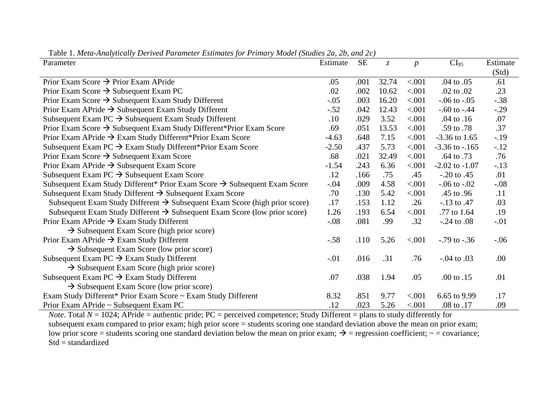| Parameter                                                                              | Estimate | <b>SE</b> | $\mathcal{Z}$ | $\boldsymbol{p}$ | CI <sub>95</sub>   | Estimate |
|----------------------------------------------------------------------------------------|----------|-----------|---------------|------------------|--------------------|----------|
|                                                                                        |          |           |               |                  |                    | (Std)    |
| Prior Exam Score $\rightarrow$ Prior Exam APride                                       | .05      | .001      | 32.74         | < .001           | .04 to .05         | .61      |
| Prior Exam Score $\rightarrow$ Subsequent Exam PC                                      | .02      | .002      | 10.62         | < .001           | .02 to .02         | .23      |
| Prior Exam Score $\rightarrow$ Subsequent Exam Study Different                         | $-.05$   | .003      | 16.20         | < .001           | $-0.06$ to $-0.05$ | $-.38$   |
| Prior Exam APride $\rightarrow$ Subsequent Exam Study Different                        | $-.52$   | .042      | 12.43         | < .001           | $-.60$ to $-.44$   | $-.29$   |
| Subsequent Exam PC $\rightarrow$ Subsequent Exam Study Different                       | .10      | .029      | 3.52          | < .001           | $.04$ to $.16$     | .07      |
| Prior Exam Score $\rightarrow$ Subsequent Exam Study Different*Prior Exam Score        | .69      | .051      | 13.53         | < .001           | .59 to .78         | .37      |
| Prior Exam APride $\rightarrow$ Exam Study Different*Prior Exam Score                  | $-4.63$  | .648      | 7.15          | < .001           | $-3.36$ to 1.65    | $-19$    |
| Subsequent Exam PC $\rightarrow$ Exam Study Different*Prior Exam Score                 | $-2.50$  | .437      | 5.73          | < .001           | $-3.36$ to $-.165$ | $-.12$   |
| Prior Exam Score $\rightarrow$ Subsequent Exam Score                                   | .68      | .021      | 32.49         | < .001           | .64 to .73         | .76      |
| Prior Exam APride $\rightarrow$ Subsequent Exam Score                                  | $-1.54$  | .243      | 6.36          | < .001           | $-2.02$ to $-1.07$ | $-.13$   |
| Subsequent Exam PC $\rightarrow$ Subsequent Exam Score                                 | .12      | .166      | .75           | .45              | $-0.20$ to $0.45$  | .01      |
| Subsequent Exam Study Different* Prior Exam Score $\rightarrow$ Subsequent Exam Score  | $-.04$   | .009      | 4.58          | < .001           | $-.06$ to $-.02$   | $-.08$   |
| Subsequent Exam Study Different $\rightarrow$ Subsequent Exam Score                    | .70      | .130      | 5.42          | < .001           | .45 to .96         | .11      |
| Subsequent Exam Study Different $\rightarrow$ Subsequent Exam Score (high prior score) | .17      | .153      | 1.12          | .26              | $-.13$ to $.47$    | .03      |
| Subsequent Exam Study Different $\rightarrow$ Subsequent Exam Score (low prior score)  | 1.26     | .193      | 6.54          | < .001           | .77 to 1.64        | .19      |
| Prior Exam APride $\rightarrow$ Exam Study Different                                   | $-.08$   | .081      | .99           | .32              | $-.24$ to $.08$    | $-.01$   |
| $\rightarrow$ Subsequent Exam Score (high prior score)                                 |          |           |               |                  |                    |          |
| Prior Exam APride $\rightarrow$ Exam Study Different                                   | $-.58$   | .110      | 5.26          | < 0.001          | $-0.79$ to $-0.36$ | $-.06$   |
| $\rightarrow$ Subsequent Exam Score (low prior score)                                  |          |           |               |                  |                    |          |
| Subsequent Exam PC $\rightarrow$ Exam Study Different                                  | $-.01$   | .016      | .31           | .76              | $-0.04$ to $.03$   | .00      |
| $\rightarrow$ Subsequent Exam Score (high prior score)                                 |          |           |               |                  |                    |          |
| Subsequent Exam PC $\rightarrow$ Exam Study Different                                  | .07      | .038      | 1.94          | .05              | .00 to .15         | .01      |
| $\rightarrow$ Subsequent Exam Score (low prior score)                                  |          |           |               |                  |                    |          |
| Exam Study Different* Prior Exam Score ~ Exam Study Different                          | 8.32     | .851      | 9.77          | < .001           | 6.65 to 9.99       | .17      |
| Prior Exam APride $\sim$ Subsequent Exam PC                                            | .12      | .023      | 5.26          | < .001           | .08 to .17         | .09      |

Table 1. *Meta-Analytically Derived Parameter Estimates for Primary Model (Studies 2a, 2b, and 2c)*

*Note*. Total *N* = 1024; APride = authentic pride; PC = perceived competence; Study Different = plans to study differently for subsequent exam compared to prior exam; high prior score = students scoring one standard deviation above the mean on prior exam; low prior score = students scoring one standard deviation below the mean on prior exam;  $\rightarrow$  = regression coefficient;  $\sim$  = covariance; Std = standardized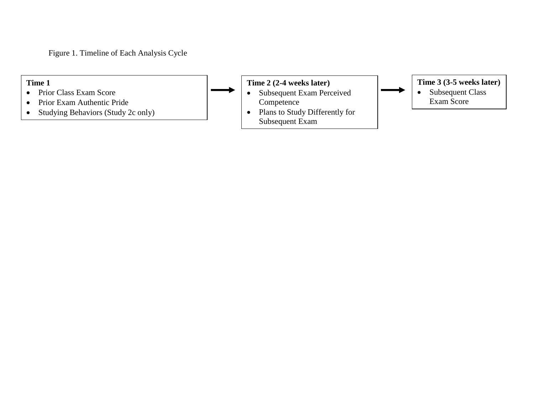Figure 1. Timeline of Each Analysis Cycle

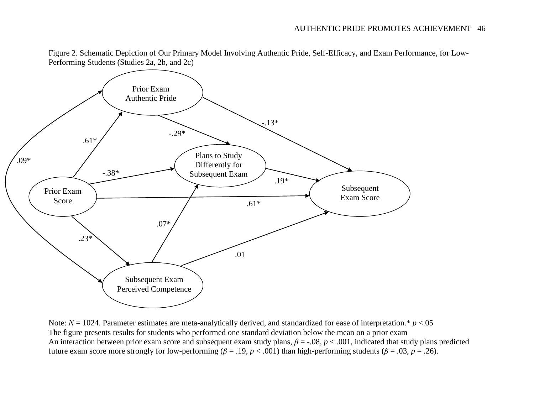

Figure 2. Schematic Depiction of Our Primary Model Involving Authentic Pride, Self-Efficacy, and Exam Performance, for Low-Performing Students (Studies 2a, 2b, and 2c)

Note: *N* = 1024. Parameter estimates are meta-analytically derived, and standardized for ease of interpretation.\* *p* <.05 The figure presents results for students who performed one standard deviation below the mean on a prior exam An interaction between prior exam score and subsequent exam study plans, *β* = -.08, *p* < .001, indicated that study plans predicted future exam score more strongly for low-performing ( $\beta = .19$ ,  $p < .001$ ) than high-performing students ( $\beta = .03$ ,  $p = .26$ ).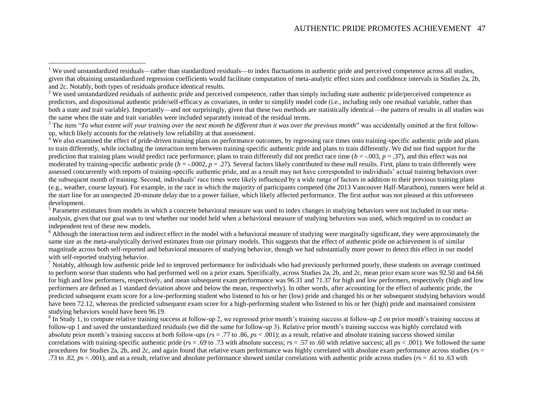## AUTHENTIC PRIDE PROMOTES ACHIEVEMENT 47

 $\overline{a}$ 

<sup>3</sup> The item "*To what extent will your training over the next month be different than it was over the previous month*" was accidentally omitted at the first followup, which likely accounts for the relatively low reliability at that assessment.

<sup>4</sup> We also examined the effect of pride-driven training plans on performance outcomes, by regressing race times onto training-specific authentic pride and plans to train differently, while including the interaction term between training-specific authentic pride and plans to train differently. We did not find support for the prediction that training plans would predict race performance; plans to train differently did not predict race time (*b* = -.003, *p* = .37), and this effect was not moderated by training-specific authentic pride  $(b = -0.0002, p = .27)$ . Several factors likely contributed to these null results. First, plans to train differently were assessed concurrently with reports of training-specific authentic pride, and as a result may not have corresponded to individuals' actual training behaviors over the subsequent month of training. Second, individuals' race times were likely influenced by a wide range of factors in addition to their previous training plans (e.g., weather, course layout). For example, in the race in which the majority of participants competed (the 2013 Vancouver Half-Marathon), runners were held at the start line for an unexpected 20-minute delay due to a power failure, which likely affected performance. The first author was not pleased at this unforeseen development.

<sup>5</sup> Parameter estimates from models in which a concrete behavioral measure was used to index changes in studying behaviors were not included in our metaanalysis, given that our goal was to test whether our model held when a behavioral measure of studying behaviors was used, which required us to conduct an independent test of these new models.

 $6$  Although the interaction term and indirect effect in the model with a behavioral measure of studying were marginally significant, they were approximately the same size as the meta-analytically derived estimates from our primary models. This suggests that the effect of authentic pride on achievement is of similar magnitude across both self-reported and behavioral measures of studying behavior, though we had substantially more power to detect this effect in our model with self-reported studying behavior.

 $<sup>7</sup>$  Notably, although low authentic pride led to improved performance for individuals who had previously performed poorly, these students on average continued</sup> to perform worse than students who had performed well on a prior exam. Specifically, across Studies 2a, 2b, and 2c, mean prior exam score was 92.50 and 64.66 for high and low performers, respectively, and mean subsequent exam performance was 96.31 and 71.37 for high and low performers, respectively (high and low performers are defined as 1 standard deviation above and below the mean, respectively). In other words, after accounting for the effect of authentic pride, the predicted subsequent exam score for a low-performing student who listened to his or her (low) pride and changed his or her subsequent studying behaviors would have been 72.12, whereas the predicted subsequent exam score for a high-performing student who listened to his or her (high) pride and maintained consistent studying behaviors would have been 96.19.

 $8 \text{ In Study 1, to compute relative training success at follow-up 2, we regressed prior month's training success at follow-up 2 on prior month's training success at 1.}$ follow-up 1 and saved the unstandardized residuals (we did the same for follow-up 3). Relative prior month's training success was highly correlated with absolute prior month's training success at both follow-ups (*r*s = .77 to .86, *p*s < .001); as a result, relative and absolute training success showed similar correlations with training-specific authentic pride (*r*s = .69 to .73 with absolute success; *r*s = .57 to .60 with relative success; all *p*s < .001). We followed the same procedures for Studies 2a, 2b, and 2c, and again found that relative exam performance was highly correlated with absolute exam performance across studies (*r*s = .73 to .82, *p*s < .001), and as a result, relative and absolute performance showed similar correlations with authentic pride across studies (*r*s = .61 to .63 with

<sup>&</sup>lt;sup>1</sup> We used unstandardized residuals—rather than standardized residuals—to index fluctuations in authentic pride and perceived competence across all studies, given that obtaining unstandardized regression coefficients would facilitate computation of meta-analytic effect sizes and confidence intervals in Studies 2a, 2b, and 2c. Notably, both types of residuals produce identical results.

<sup>&</sup>lt;sup>2</sup> We used unstandardized residuals of authentic pride and perceived competence, rather than simply including state authentic pride/perceived competence as predictors, and dispositional authentic pride/self-efficacy as covariates, in order to simplify model code (i.e., including only one residual variable, rather than both a state and trait variable). Importantly—and not surprisingly, given that these two methods are statistically identical—the pattern of results in all studies was the same when the state and trait variables were included separately instead of the residual terms.